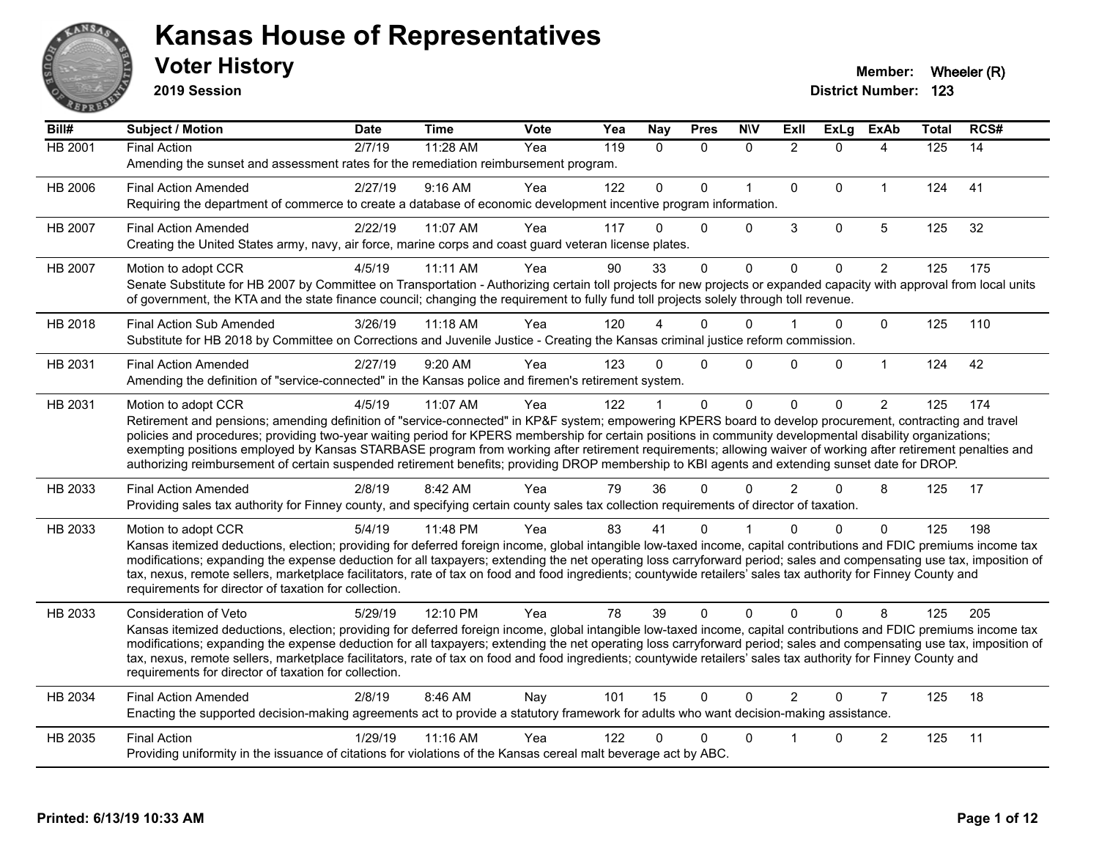

**2019 Session**

| Bill#          | Subject / Motion                                                                                                                                                                                                                                                                                                                                                                                                                                                                                                                                                                                                                                                   | <b>Date</b> | <b>Time</b> | Vote | Yea | <b>Nay</b>   | <b>Pres</b>  | <b>NIV</b>   | ExIl           | <b>ExLg</b> | <b>ExAb</b>    | <b>Total</b> | RCS# |
|----------------|--------------------------------------------------------------------------------------------------------------------------------------------------------------------------------------------------------------------------------------------------------------------------------------------------------------------------------------------------------------------------------------------------------------------------------------------------------------------------------------------------------------------------------------------------------------------------------------------------------------------------------------------------------------------|-------------|-------------|------|-----|--------------|--------------|--------------|----------------|-------------|----------------|--------------|------|
| <b>HB 2001</b> | <b>Final Action</b><br>Amending the sunset and assessment rates for the remediation reimbursement program.                                                                                                                                                                                                                                                                                                                                                                                                                                                                                                                                                         | 2/7/19      | 11:28 AM    | Yea  | 119 | $\mathbf{0}$ | $\mathbf{0}$ | $\Omega$     | $\overline{2}$ | $\Omega$    | 4              | 125          | 14   |
| HB 2006        | <b>Final Action Amended</b><br>Requiring the department of commerce to create a database of economic development incentive program information.                                                                                                                                                                                                                                                                                                                                                                                                                                                                                                                    | 2/27/19     | 9:16 AM     | Yea  | 122 | $\Omega$     | $\Omega$     | $\mathbf{1}$ | 0              | $\Omega$    | $\mathbf 1$    | 124          | 41   |
| HB 2007        | <b>Final Action Amended</b><br>Creating the United States army, navy, air force, marine corps and coast guard veteran license plates.                                                                                                                                                                                                                                                                                                                                                                                                                                                                                                                              | 2/22/19     | 11:07 AM    | Yea  | 117 | $\Omega$     | $\mathbf{0}$ | $\mathbf 0$  | 3              | $\mathbf 0$ | 5              | 125          | 32   |
| HB 2007        | Motion to adopt CCR<br>Senate Substitute for HB 2007 by Committee on Transportation - Authorizing certain toll projects for new projects or expanded capacity with approval from local units<br>of government, the KTA and the state finance council; changing the requirement to fully fund toll projects solely through toll revenue.                                                                                                                                                                                                                                                                                                                            | 4/5/19      | $11:11$ AM  | Yea  | 90  | 33           | $\Omega$     | $\Omega$     | $\Omega$       | $\Omega$    | $\overline{c}$ | 125          | 175  |
| HB 2018        | <b>Final Action Sub Amended</b><br>Substitute for HB 2018 by Committee on Corrections and Juvenile Justice - Creating the Kansas criminal justice reform commission.                                                                                                                                                                                                                                                                                                                                                                                                                                                                                               | 3/26/19     | 11:18 AM    | Yea  | 120 |              | 0            | $\Omega$     |                | $\Omega$    | $\Omega$       | 125          | 110  |
| HB 2031        | <b>Final Action Amended</b><br>Amending the definition of "service-connected" in the Kansas police and firemen's retirement system.                                                                                                                                                                                                                                                                                                                                                                                                                                                                                                                                | 2/27/19     | 9:20 AM     | Yea  | 123 | 0            | $\Omega$     | $\Omega$     | <sup>n</sup>   | $\Omega$    | $\mathbf{1}$   | 124          | 42   |
| HB 2031        | Motion to adopt CCR<br>Retirement and pensions; amending definition of "service-connected" in KP&F system; empowering KPERS board to develop procurement, contracting and travel<br>policies and procedures; providing two-year waiting period for KPERS membership for certain positions in community developmental disability organizations;<br>exempting positions employed by Kansas STARBASE program from working after retirement requirements; allowing waiver of working after retirement penalties and<br>authorizing reimbursement of certain suspended retirement benefits; providing DROP membership to KBI agents and extending sunset date for DROP. | 4/5/19      | 11:07 AM    | Yea  | 122 |              | $\Omega$     | $\mathbf 0$  | $\Omega$       | $\Omega$    | $\overline{2}$ | 125          | 174  |
| HB 2033        | <b>Final Action Amended</b><br>Providing sales tax authority for Finney county, and specifying certain county sales tax collection requirements of director of taxation.                                                                                                                                                                                                                                                                                                                                                                                                                                                                                           | 2/8/19      | 8:42 AM     | Yea  | 79  | 36           | $\Omega$     | $\Omega$     | $\overline{2}$ | $\Omega$    | 8              | 125          | 17   |
| HB 2033        | Motion to adopt CCR<br>Kansas itemized deductions, election; providing for deferred foreign income, global intangible low-taxed income, capital contributions and FDIC premiums income tax<br>modifications; expanding the expense deduction for all taxpayers; extending the net operating loss carryforward period; sales and compensating use tax, imposition of<br>tax, nexus, remote sellers, marketplace facilitators, rate of tax on food and food ingredients; countywide retailers' sales tax authority for Finney County and<br>requirements for director of taxation for collection.                                                                    | 5/4/19      | 11:48 PM    | Yea  | 83  | 41           | 0            |              |                | $\Omega$    | $\Omega$       | 125          | 198  |
| HB 2033        | <b>Consideration of Veto</b><br>Kansas itemized deductions, election; providing for deferred foreign income, global intangible low-taxed income, capital contributions and FDIC premiums income tax<br>modifications; expanding the expense deduction for all taxpayers; extending the net operating loss carryforward period; sales and compensating use tax, imposition of<br>tax, nexus, remote sellers, marketplace facilitators, rate of tax on food and food ingredients; countywide retailers' sales tax authority for Finney County and<br>requirements for director of taxation for collection.                                                           | 5/29/19     | 12:10 PM    | Yea  | 78  | 39           | $\Omega$     | $\Omega$     | $\Omega$       | $\Omega$    | 8              | 125          | 205  |
| HB 2034        | <b>Final Action Amended</b><br>Enacting the supported decision-making agreements act to provide a statutory framework for adults who want decision-making assistance.                                                                                                                                                                                                                                                                                                                                                                                                                                                                                              | 2/8/19      | 8:46 AM     | Nay  | 101 | 15           | $\Omega$     | $\Omega$     | $\mathcal{P}$  | $\Omega$    | $\overline{7}$ | 125          | 18   |
| HB 2035        | <b>Final Action</b><br>Providing uniformity in the issuance of citations for violations of the Kansas cereal malt beverage act by ABC.                                                                                                                                                                                                                                                                                                                                                                                                                                                                                                                             | 1/29/19     | 11:16 AM    | Yea  | 122 | 0            | 0            | $\mathbf 0$  |                | $\Omega$    | $\overline{c}$ | 125          | 11   |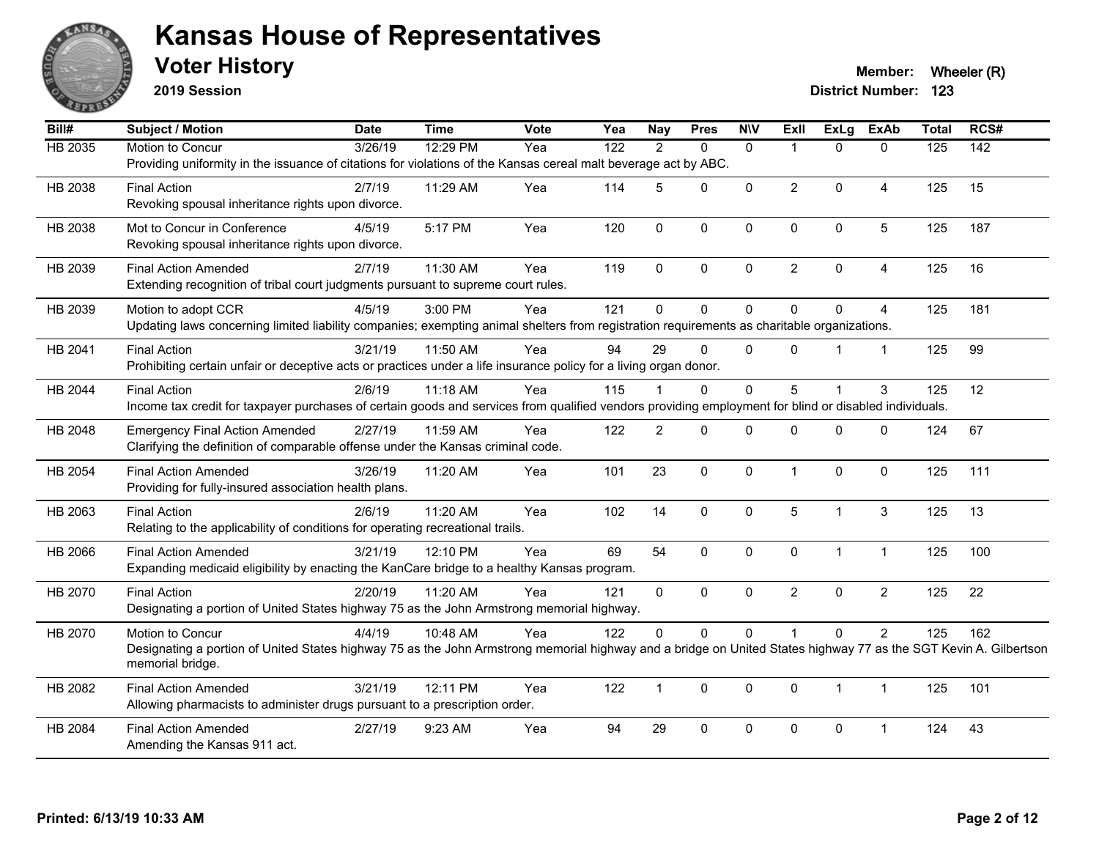

**2019 Session**

**Voter History Member: Wheeler (R) Member: Wheeler (R)** 

| Bill#          | Subject / Motion                                                                                                                                                 | <b>Date</b> | <b>Time</b> | <b>Vote</b> | Yea | <b>Nay</b>     | <b>Pres</b> | <b>NIV</b>   | <b>Exll</b>    | ExLg         | <b>ExAb</b>    | <b>Total</b> | RCS#             |
|----------------|------------------------------------------------------------------------------------------------------------------------------------------------------------------|-------------|-------------|-------------|-----|----------------|-------------|--------------|----------------|--------------|----------------|--------------|------------------|
| <b>HB 2035</b> | Motion to Concur                                                                                                                                                 | 3/26/19     | 12:29 PM    | Yea         | 122 | 2              | $\Omega$    | $\mathbf{0}$ | 1              | $\Omega$     | $\mathbf{0}$   | 125          | $\overline{142}$ |
|                | Providing uniformity in the issuance of citations for violations of the Kansas cereal malt beverage act by ABC.                                                  |             |             |             |     |                |             |              |                |              |                |              |                  |
| HB 2038        | <b>Final Action</b>                                                                                                                                              | 2/7/19      | 11:29 AM    | Yea         | 114 | 5              | $\Omega$    | $\mathbf{0}$ | $\overline{2}$ | $\mathbf 0$  | 4              | 125          | 15               |
|                | Revoking spousal inheritance rights upon divorce.                                                                                                                |             |             |             |     |                |             |              |                |              |                |              |                  |
| HB 2038        | Mot to Concur in Conference                                                                                                                                      | 4/5/19      | 5:17 PM     | Yea         | 120 | $\mathbf 0$    | 0           | $\pmb{0}$    | $\mathbf 0$    | 0            | $\sqrt{5}$     | 125          | 187              |
|                | Revoking spousal inheritance rights upon divorce.                                                                                                                |             |             |             |     |                |             |              |                |              |                |              |                  |
| HB 2039        | <b>Final Action Amended</b>                                                                                                                                      | 2/7/19      | 11:30 AM    | Yea         | 119 | $\Omega$       | $\Omega$    | $\mathbf{0}$ | $\overline{2}$ | $\Omega$     | $\overline{4}$ | 125          | 16               |
|                | Extending recognition of tribal court judgments pursuant to supreme court rules.                                                                                 |             |             |             |     |                |             |              |                |              |                |              |                  |
| HB 2039        | Motion to adopt CCR                                                                                                                                              | 4/5/19      | 3:00 PM     | Yea         | 121 | $\mathbf{0}$   | 0           | $\mathbf 0$  | $\Omega$       | $\Omega$     | $\overline{4}$ | 125          | 181              |
|                | Updating laws concerning limited liability companies; exempting animal shelters from registration requirements as charitable organizations.                      |             |             |             |     |                |             |              |                |              |                |              |                  |
| HB 2041        | <b>Final Action</b>                                                                                                                                              | 3/21/19     | 11:50 AM    | Yea         | 94  | 29             | $\mathbf 0$ | $\mathbf{0}$ | $\Omega$       |              | $\mathbf{1}$   | 125          | 99               |
|                | Prohibiting certain unfair or deceptive acts or practices under a life insurance policy for a living organ donor.                                                |             |             |             |     |                |             |              |                |              |                |              |                  |
| HB 2044        | <b>Final Action</b>                                                                                                                                              | 2/6/19      | $11:18$ AM  | Yea         | 115 |                | $\Omega$    | $\mathbf{0}$ | 5              |              | 3              | 125          | 12               |
|                | Income tax credit for taxpayer purchases of certain goods and services from qualified vendors providing employment for blind or disabled individuals.            |             |             |             |     |                |             |              |                |              |                |              |                  |
| HB 2048        | <b>Emergency Final Action Amended</b>                                                                                                                            | 2/27/19     | 11:59 AM    | Yea         | 122 | $\overline{2}$ | $\Omega$    | $\mathbf 0$  | $\Omega$       | $\mathbf 0$  | $\mathbf 0$    | 124          | 67               |
|                | Clarifying the definition of comparable offense under the Kansas criminal code.                                                                                  |             |             |             |     |                |             |              |                |              |                |              |                  |
| HB 2054        | <b>Final Action Amended</b>                                                                                                                                      | 3/26/19     | 11:20 AM    | Yea         | 101 | 23             | $\mathbf 0$ | $\mathbf{0}$ | 1              | $\mathbf 0$  | $\mathbf{0}$   | 125          | 111              |
|                | Providing for fully-insured association health plans.                                                                                                            |             |             |             |     |                |             |              |                |              |                |              |                  |
| HB 2063        | <b>Final Action</b>                                                                                                                                              | 2/6/19      | 11:20 AM    | Yea         | 102 | 14             | 0           | $\mathbf 0$  | 5              | $\mathbf{1}$ | $\sqrt{3}$     | 125          | 13               |
|                | Relating to the applicability of conditions for operating recreational trails.                                                                                   |             |             |             |     |                |             |              |                |              |                |              |                  |
| HB 2066        | <b>Final Action Amended</b>                                                                                                                                      | 3/21/19     | 12:10 PM    | Yea         | 69  | 54             | 0           | $\mathbf 0$  | 0              | $\mathbf{1}$ | $\mathbf{1}$   | 125          | 100              |
|                | Expanding medicaid eligibility by enacting the KanCare bridge to a healthy Kansas program.                                                                       |             |             |             |     |                |             |              |                |              |                |              |                  |
| HB 2070        | <b>Final Action</b>                                                                                                                                              | 2/20/19     | $11:20$ AM  | Yea         | 121 | $\mathbf{0}$   | $\Omega$    | $\mathbf{0}$ | $\overline{2}$ | $\Omega$     | $\overline{2}$ | 125          | 22               |
|                | Designating a portion of United States highway 75 as the John Armstrong memorial highway.                                                                        |             |             |             |     |                |             |              |                |              |                |              |                  |
| HB 2070        | Motion to Concur                                                                                                                                                 | 4/4/19      | 10:48 AM    | Yea         | 122 | $\Omega$       | 0           | $\mathbf 0$  |                | $\mathbf 0$  | $\overline{2}$ | 125          | 162              |
|                | Designating a portion of United States highway 75 as the John Armstrong memorial highway and a bridge on United States highway 77 as the SGT Kevin A. Gilbertson |             |             |             |     |                |             |              |                |              |                |              |                  |
|                | memorial bridge.                                                                                                                                                 |             |             |             |     |                |             |              |                |              |                |              |                  |
| HB 2082        | <b>Final Action Amended</b>                                                                                                                                      | 3/21/19     | 12:11 PM    | Yea         | 122 | $\mathbf{1}$   | $\Omega$    | $\mathbf{0}$ | $\Omega$       | $\mathbf{1}$ | $\mathbf{1}$   | 125          | 101              |
|                | Allowing pharmacists to administer drugs pursuant to a prescription order.                                                                                       |             |             |             |     |                |             |              |                |              |                |              |                  |
| HB 2084        | <b>Final Action Amended</b>                                                                                                                                      | 2/27/19     | 9:23 AM     | Yea         | 94  | 29             | 0           | $\mathbf 0$  | 0              | 0            | 1              | 124          | 43               |
|                | Amending the Kansas 911 act.                                                                                                                                     |             |             |             |     |                |             |              |                |              |                |              |                  |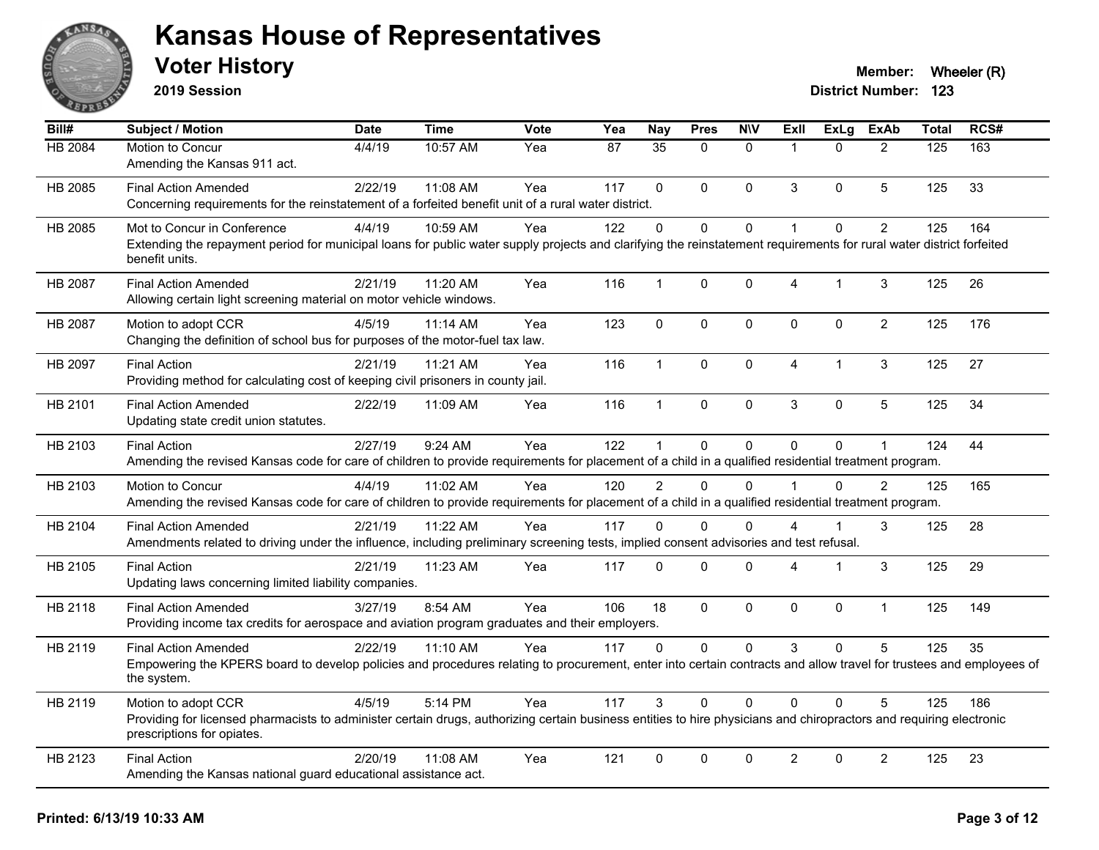

**2019 Session**

| Bill#          | <b>Subject / Motion</b>                                                                                                                                                                           | <b>Date</b> | <b>Time</b> | <b>Vote</b> | Yea | Nay           | <b>Pres</b>  | <b>NIV</b>   | ExII                 | <b>ExLg</b> | <b>ExAb</b>    | <b>Total</b> | RCS# |
|----------------|---------------------------------------------------------------------------------------------------------------------------------------------------------------------------------------------------|-------------|-------------|-------------|-----|---------------|--------------|--------------|----------------------|-------------|----------------|--------------|------|
| <b>HB 2084</b> | Motion to Concur<br>Amending the Kansas 911 act.                                                                                                                                                  | 4/4/19      | 10:57 AM    | Yea         | 87  | 35            | $\Omega$     | $\mathbf{0}$ | $\overline{1}$       | $\Omega$    | 2              | 125          | 163  |
| HB 2085        | <b>Final Action Amended</b>                                                                                                                                                                       | 2/22/19     | 11:08 AM    | Yea         | 117 | $\Omega$      | $\Omega$     | $\mathbf{0}$ | 3                    | $\Omega$    | 5              | 125          | 33   |
|                | Concerning requirements for the reinstatement of a forfeited benefit unit of a rural water district.                                                                                              |             |             |             |     |               |              |              |                      |             |                |              |      |
| HB 2085        | Mot to Concur in Conference                                                                                                                                                                       | 4/4/19      | 10:59 AM    | Yea         | 122 | $\Omega$      | $\Omega$     | $\pmb{0}$    | $\blacktriangleleft$ | $\Omega$    | $\overline{c}$ | 125          | 164  |
|                | Extending the repayment period for municipal loans for public water supply projects and clarifying the reinstatement requirements for rural water district forfeited<br>benefit units.            |             |             |             |     |               |              |              |                      |             |                |              |      |
| HB 2087        | <b>Final Action Amended</b>                                                                                                                                                                       | 2/21/19     | 11:20 AM    | Yea         | 116 | $\mathbf{1}$  | $\Omega$     | $\mathbf 0$  | $\overline{4}$       | 1           | 3              | 125          | 26   |
|                | Allowing certain light screening material on motor vehicle windows.                                                                                                                               |             |             |             |     |               |              |              |                      |             |                |              |      |
| HB 2087        | Motion to adopt CCR                                                                                                                                                                               | 4/5/19      | 11:14 AM    | Yea         | 123 | $\mathbf 0$   | $\mathbf 0$  | $\mathbf 0$  | $\mathbf 0$          | $\mathbf 0$ | $\overline{2}$ | 125          | 176  |
|                | Changing the definition of school bus for purposes of the motor-fuel tax law.                                                                                                                     |             |             |             |     |               |              |              |                      |             |                |              |      |
| HB 2097        | <b>Final Action</b>                                                                                                                                                                               | 2/21/19     | 11:21 AM    | Yea         | 116 | $\mathbf 1$   | $\Omega$     | $\mathbf{0}$ | $\overline{4}$       | 1           | 3              | 125          | 27   |
|                | Providing method for calculating cost of keeping civil prisoners in county jail.                                                                                                                  |             |             |             |     |               |              |              |                      |             |                |              |      |
| HB 2101        | <b>Final Action Amended</b><br>Updating state credit union statutes.                                                                                                                              | 2/22/19     | 11:09 AM    | Yea         | 116 | $\mathbf{1}$  | $\Omega$     | $\pmb{0}$    | 3                    | $\Omega$    | 5              | 125          | 34   |
| HB 2103        | <b>Final Action</b>                                                                                                                                                                               | 2/27/19     | 9:24 AM     | Yea         | 122 | 1             | 0            | $\mathbf 0$  | $\Omega$             | 0           | $\mathbf{1}$   | 124          | 44   |
|                | Amending the revised Kansas code for care of children to provide requirements for placement of a child in a qualified residential treatment program.                                              |             |             |             |     |               |              |              |                      |             |                |              |      |
| HB 2103        | Motion to Concur                                                                                                                                                                                  | 4/4/19      | 11:02 AM    | Yea         | 120 | $\mathcal{P}$ | $\Omega$     | $\Omega$     |                      | $\Omega$    | $\mathcal{P}$  | 125          | 165  |
|                | Amending the revised Kansas code for care of children to provide requirements for placement of a child in a qualified residential treatment program.                                              |             |             |             |     |               |              |              |                      |             |                |              |      |
| HB 2104        | <b>Final Action Amended</b>                                                                                                                                                                       | 2/21/19     | 11:22 AM    | Yea         | 117 | $\Omega$      | 0            | $\Omega$     | 4                    |             | 3              | 125          | 28   |
|                | Amendments related to driving under the influence, including preliminary screening tests, implied consent advisories and test refusal.                                                            |             |             |             |     |               |              |              |                      |             |                |              |      |
| HB 2105        | <b>Final Action</b>                                                                                                                                                                               | 2/21/19     | 11:23 AM    | Yea         | 117 | $\Omega$      | $\Omega$     | $\mathbf 0$  | 4                    | 1           | 3              | 125          | 29   |
|                | Updating laws concerning limited liability companies.                                                                                                                                             |             |             |             |     |               |              |              |                      |             |                |              |      |
| HB 2118        | <b>Final Action Amended</b>                                                                                                                                                                       | 3/27/19     | 8:54 AM     | Yea         | 106 | 18            | $\mathbf{0}$ | $\mathbf 0$  | $\mathbf{0}$         | 0           | $\mathbf{1}$   | 125          | 149  |
|                | Providing income tax credits for aerospace and aviation program graduates and their employers.                                                                                                    |             |             |             |     |               |              |              |                      |             |                |              |      |
| HB 2119        | <b>Final Action Amended</b>                                                                                                                                                                       | 2/22/19     | $11:10$ AM  | Yea         | 117 | 0             | $\Omega$     | $\mathbf 0$  | 3                    | $\Omega$    | 5              | 125          | 35   |
|                | Empowering the KPERS board to develop policies and procedures relating to procurement, enter into certain contracts and allow travel for trustees and employees of<br>the system.                 |             |             |             |     |               |              |              |                      |             |                |              |      |
| HB 2119        | Motion to adopt CCR                                                                                                                                                                               | 4/5/19      | 5:14 PM     | Yea         | 117 | 3             | 0            | $\Omega$     | $\Omega$             | $\Omega$    | 5              | 125          | 186  |
|                | Providing for licensed pharmacists to administer certain drugs, authorizing certain business entities to hire physicians and chiropractors and requiring electronic<br>prescriptions for opiates. |             |             |             |     |               |              |              |                      |             |                |              |      |
| HB 2123        | <b>Final Action</b>                                                                                                                                                                               | 2/20/19     | 11:08 AM    | Yea         | 121 | $\Omega$      | $\Omega$     | $\mathbf{0}$ | $\overline{2}$       | $\Omega$    | $\overline{2}$ | 125          | 23   |
|                | Amending the Kansas national guard educational assistance act.                                                                                                                                    |             |             |             |     |               |              |              |                      |             |                |              |      |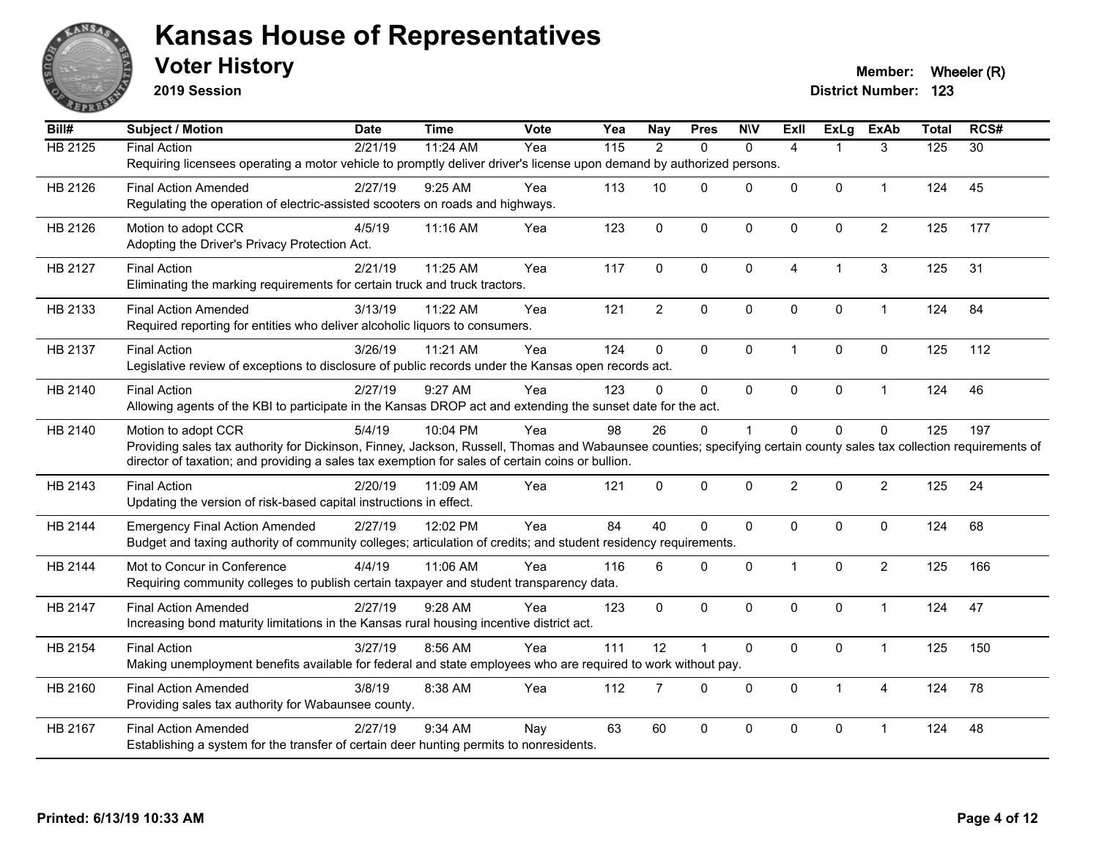

**2019 Session**

| $\overline{BiII#}$ | Subject / Motion                                                                                                                                                     | <b>Date</b> | <b>Time</b> | <b>Vote</b> | Yea               | Nay            | <b>Pres</b>    | <b>NIV</b>   | Exll           | <b>ExLg</b>  | <b>ExAb</b>    | <b>Total</b>     | RCS#            |
|--------------------|----------------------------------------------------------------------------------------------------------------------------------------------------------------------|-------------|-------------|-------------|-------------------|----------------|----------------|--------------|----------------|--------------|----------------|------------------|-----------------|
| <b>HB 2125</b>     | <b>Final Action</b>                                                                                                                                                  | 2/21/19     | 11:24 AM    | Yea         | $\frac{115}{115}$ | $\overline{2}$ | $\Omega$       | $\mathbf{0}$ | $\overline{4}$ | 1            | 3              | $\overline{125}$ | $\overline{30}$ |
|                    | Requiring licensees operating a motor vehicle to promptly deliver driver's license upon demand by authorized persons.                                                |             |             |             |                   |                |                |              |                |              |                |                  |                 |
| HB 2126            | <b>Final Action Amended</b>                                                                                                                                          | 2/27/19     | 9:25 AM     | Yea         | 113               | 10             | $\Omega$       | $\mathbf 0$  | 0              | 0            | $\mathbf{1}$   | 124              | 45              |
|                    | Regulating the operation of electric-assisted scooters on roads and highways.                                                                                        |             |             |             |                   |                |                |              |                |              |                |                  |                 |
| HB 2126            | Motion to adopt CCR                                                                                                                                                  | 4/5/19      | 11:16 AM    | Yea         | 123               | $\Omega$       | $\mathbf{0}$   | $\Omega$     | $\mathbf{0}$   | $\mathbf{0}$ | $\overline{2}$ | 125              | 177             |
|                    | Adopting the Driver's Privacy Protection Act.                                                                                                                        |             |             |             |                   |                |                |              |                |              |                |                  |                 |
| HB 2127            | <b>Final Action</b>                                                                                                                                                  | 2/21/19     | 11:25 AM    | Yea         | 117               | $\mathbf 0$    | $\mathbf 0$    | $\Omega$     | 4              | $\mathbf{1}$ | 3              | 125              | 31              |
|                    | Eliminating the marking requirements for certain truck and truck tractors.                                                                                           |             |             |             |                   |                |                |              |                |              |                |                  |                 |
| HB 2133            | <b>Final Action Amended</b>                                                                                                                                          | 3/13/19     | 11:22 AM    | Yea         | 121               | $\overline{2}$ | $\mathbf 0$    | $\mathbf 0$  | $\mathbf{0}$   | $\mathbf 0$  | $\mathbf{1}$   | 124              | 84              |
|                    | Required reporting for entities who deliver alcoholic liquors to consumers.                                                                                          |             |             |             |                   |                |                |              |                |              |                |                  |                 |
| HB 2137            | <b>Final Action</b>                                                                                                                                                  | 3/26/19     | 11:21 AM    | Yea         | 124               | 0              | $\mathbf 0$    | $\mathbf 0$  | $\mathbf{1}$   | 0            | $\mathbf 0$    | 125              | 112             |
|                    | Legislative review of exceptions to disclosure of public records under the Kansas open records act.                                                                  |             |             |             |                   |                |                |              |                |              |                |                  |                 |
| HB 2140            | <b>Final Action</b>                                                                                                                                                  | 2/27/19     | 9:27 AM     | Yea         | 123               | $\Omega$       | $\mathbf{0}$   | $\mathbf 0$  | $\mathbf 0$    | 0            | $\mathbf{1}$   | 124              | 46              |
|                    | Allowing agents of the KBI to participate in the Kansas DROP act and extending the sunset date for the act.                                                          |             |             |             |                   |                |                |              |                |              |                |                  |                 |
| HB 2140            | Motion to adopt CCR                                                                                                                                                  | 5/4/19      | 10:04 PM    | Yea         | 98                | 26             | $\mathbf{0}$   | 1            | $\Omega$       | $\Omega$     | $\mathbf{0}$   | 125              | 197             |
|                    | Providing sales tax authority for Dickinson, Finney, Jackson, Russell, Thomas and Wabaunsee counties; specifying certain county sales tax collection requirements of |             |             |             |                   |                |                |              |                |              |                |                  |                 |
|                    | director of taxation; and providing a sales tax exemption for sales of certain coins or bullion.                                                                     |             |             |             |                   |                |                |              |                |              |                |                  |                 |
| HB 2143            | <b>Final Action</b>                                                                                                                                                  | 2/20/19     | 11:09 AM    | Yea         | 121               | 0              | $\mathbf 0$    | $\mathbf 0$  | $\overline{2}$ | 0            | $\overline{2}$ | 125              | 24              |
|                    | Updating the version of risk-based capital instructions in effect.                                                                                                   |             |             |             |                   |                |                |              |                |              |                |                  |                 |
| HB 2144            | <b>Emergency Final Action Amended</b>                                                                                                                                | 2/27/19     | 12:02 PM    | Yea         | 84                | 40             | $\mathbf{0}$   | $\mathbf 0$  | $\mathbf 0$    | 0            | $\mathbf 0$    | 124              | 68              |
|                    | Budget and taxing authority of community colleges; articulation of credits; and student residency requirements.                                                      |             |             |             |                   |                |                |              |                |              |                |                  |                 |
| HB 2144            | Mot to Concur in Conference                                                                                                                                          | 4/4/19      | 11:06 AM    | Yea         | 116               | 6              | $\mathbf{0}$   | $\Omega$     | 1              | $\Omega$     | $\overline{2}$ | 125              | 166             |
|                    | Requiring community colleges to publish certain taxpayer and student transparency data.                                                                              |             |             |             |                   |                |                |              |                |              |                |                  |                 |
| HB 2147            | <b>Final Action Amended</b>                                                                                                                                          | 2/27/19     | $9:28$ AM   | Yea         | 123               | $\mathbf{0}$   | $\mathbf{0}$   | $\Omega$     | $\mathbf{0}$   | $\Omega$     | $\overline{1}$ | 124              | 47              |
|                    | Increasing bond maturity limitations in the Kansas rural housing incentive district act.                                                                             |             |             |             |                   |                |                |              |                |              |                |                  |                 |
| HB 2154            | <b>Final Action</b>                                                                                                                                                  | 3/27/19     | 8:56 AM     | Yea         | 111               | 12             | $\overline{1}$ | $\mathbf 0$  | $\mathbf 0$    | 0            | $\mathbf{1}$   | 125              | 150             |
|                    | Making unemployment benefits available for federal and state employees who are required to work without pay.                                                         |             |             |             |                   |                |                |              |                |              |                |                  |                 |
| HB 2160            | <b>Final Action Amended</b>                                                                                                                                          | 3/8/19      | 8:38 AM     | Yea         | 112               | $\overline{7}$ | $\mathbf 0$    | $\mathbf 0$  | $\mathbf 0$    | $\mathbf{1}$ | 4              | 124              | 78              |
|                    | Providing sales tax authority for Wabaunsee county.                                                                                                                  |             |             |             |                   |                |                |              |                |              |                |                  |                 |
| HB 2167            | <b>Final Action Amended</b>                                                                                                                                          | 2/27/19     | 9:34 AM     | Nav         | 63                | 60             | $\mathbf 0$    | $\Omega$     | $\Omega$       | 0            | 1              | 124              | 48              |
|                    | Establishing a system for the transfer of certain deer hunting permits to nonresidents.                                                                              |             |             |             |                   |                |                |              |                |              |                |                  |                 |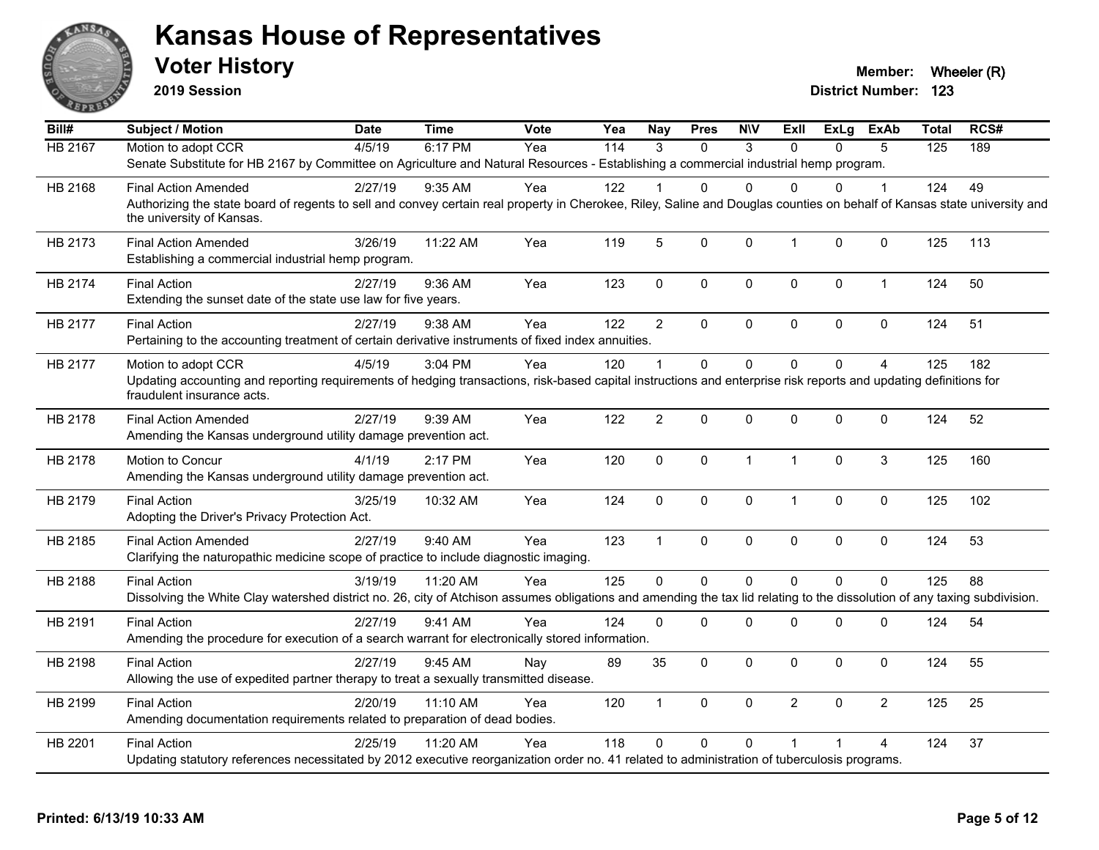

**2019 Session**

| Bill#          | <b>Subject / Motion</b>                                                                                                                                                                               | Date    | <b>Time</b> | Vote | Yea | <b>Nay</b>     | <b>Pres</b>  | <b>NIV</b>   | Exll                    | ExLg         | ExAb           | <b>Total</b> | RCS# |
|----------------|-------------------------------------------------------------------------------------------------------------------------------------------------------------------------------------------------------|---------|-------------|------|-----|----------------|--------------|--------------|-------------------------|--------------|----------------|--------------|------|
| <b>HB 2167</b> | Motion to adopt CCR                                                                                                                                                                                   | 4/5/19  | 6:17 PM     | Yea  | 114 | 3              | $\Omega$     | 3            | $\Omega$                | $\Omega$     | 5              | 125          | 189  |
|                | Senate Substitute for HB 2167 by Committee on Agriculture and Natural Resources - Establishing a commercial industrial hemp program.                                                                  |         |             |      |     |                |              |              |                         |              |                |              |      |
| HB 2168        | <b>Final Action Amended</b>                                                                                                                                                                           | 2/27/19 | $9:35$ AM   | Yea  | 122 |                | 0            | $\Omega$     | 0                       | 0            |                | 124          | 49   |
|                | Authorizing the state board of regents to sell and convey certain real property in Cherokee, Riley, Saline and Douglas counties on behalf of Kansas state university and<br>the university of Kansas. |         |             |      |     |                |              |              |                         |              |                |              |      |
| HB 2173        | <b>Final Action Amended</b><br>Establishing a commercial industrial hemp program.                                                                                                                     | 3/26/19 | 11:22 AM    | Yea  | 119 | 5              | $\mathbf 0$  | $\mathbf 0$  | $\overline{1}$          | 0            | $\mathbf 0$    | 125          | 113  |
| HB 2174        | <b>Final Action</b><br>Extending the sunset date of the state use law for five years.                                                                                                                 | 2/27/19 | 9:36 AM     | Yea  | 123 | $\mathbf{0}$   | $\mathbf 0$  | $\mathbf 0$  | $\mathbf{0}$            | 0            | $\mathbf{1}$   | 124          | 50   |
| HB 2177        | <b>Final Action</b><br>Pertaining to the accounting treatment of certain derivative instruments of fixed index annuities.                                                                             | 2/27/19 | 9:38 AM     | Yea  | 122 | $\overline{2}$ | $\Omega$     | $\mathbf 0$  | $\mathbf 0$             | $\Omega$     | 0              | 124          | 51   |
| HB 2177        | Motion to adopt CCR<br>Updating accounting and reporting requirements of hedging transactions, risk-based capital instructions and enterprise risk reports and updating definitions for               | 4/5/19  | 3:04 PM     | Yea  | 120 | $\overline{1}$ | $\Omega$     | $\Omega$     | $\Omega$                | $\Omega$     | 4              | 125          | 182  |
|                | fraudulent insurance acts.                                                                                                                                                                            |         |             |      |     |                |              |              |                         |              |                |              |      |
| HB 2178        | <b>Final Action Amended</b><br>Amending the Kansas underground utility damage prevention act.                                                                                                         | 2/27/19 | 9:39 AM     | Yea  | 122 | $\overline{2}$ | $\Omega$     | 0            | $\mathbf 0$             | 0            | $\mathbf 0$    | 124          | 52   |
| HB 2178        | Motion to Concur<br>Amending the Kansas underground utility damage prevention act.                                                                                                                    | 4/1/19  | 2:17 PM     | Yea  | 120 | $\mathbf 0$    | $\mathbf 0$  | $\mathbf{1}$ | $\overline{1}$          | 0            | 3              | 125          | 160  |
| HB 2179        | <b>Final Action</b><br>Adopting the Driver's Privacy Protection Act.                                                                                                                                  | 3/25/19 | 10:32 AM    | Yea  | 124 | $\mathbf 0$    | 0            | $\mathbf 0$  | $\overline{1}$          | 0            | $\mathbf 0$    | 125          | 102  |
| HB 2185        | <b>Final Action Amended</b><br>Clarifying the naturopathic medicine scope of practice to include diagnostic imaging.                                                                                  | 2/27/19 | 9:40 AM     | Yea  | 123 | $\mathbf{1}$   | $\mathbf 0$  | $\mathbf 0$  | $\mathbf 0$             | 0            | 0              | 124          | 53   |
| HB 2188        | <b>Final Action</b><br>Dissolving the White Clay watershed district no. 26, city of Atchison assumes obligations and amending the tax lid relating to the dissolution of any taxing subdivision.      | 3/19/19 | 11:20 AM    | Yea  | 125 | $\mathbf{0}$   | $\mathbf{0}$ | $\mathbf{0}$ | $\Omega$                | $\Omega$     | $\Omega$       | 125          | 88   |
| HB 2191        | <b>Final Action</b><br>Amending the procedure for execution of a search warrant for electronically stored information.                                                                                | 2/27/19 | 9:41 AM     | Yea  | 124 | $\mathbf{0}$   | 0            | $\mathbf 0$  | $\mathbf 0$             | 0            | 0              | 124          | 54   |
| HB 2198        | <b>Final Action</b><br>Allowing the use of expedited partner therapy to treat a sexually transmitted disease.                                                                                         | 2/27/19 | 9:45 AM     | Nay  | 89  | 35             | 0            | 0            | $\mathbf 0$             | 0            | 0              | 124          | 55   |
| HB 2199        | <b>Final Action</b><br>Amending documentation requirements related to preparation of dead bodies.                                                                                                     | 2/20/19 | 11:10 AM    | Yea  | 120 | $\mathbf{1}$   | $\mathbf 0$  | $\mathbf 0$  | $\overline{2}$          | $\mathbf{0}$ | $\overline{2}$ | 125          | 25   |
| HB 2201        | <b>Final Action</b><br>Updating statutory references necessitated by 2012 executive reorganization order no. 41 related to administration of tuberculosis programs.                                   | 2/25/19 | 11:20 AM    | Yea  | 118 | $\Omega$       | 0            | $\Omega$     | $\overline{\mathbf{1}}$ |              | 4              | 124          | 37   |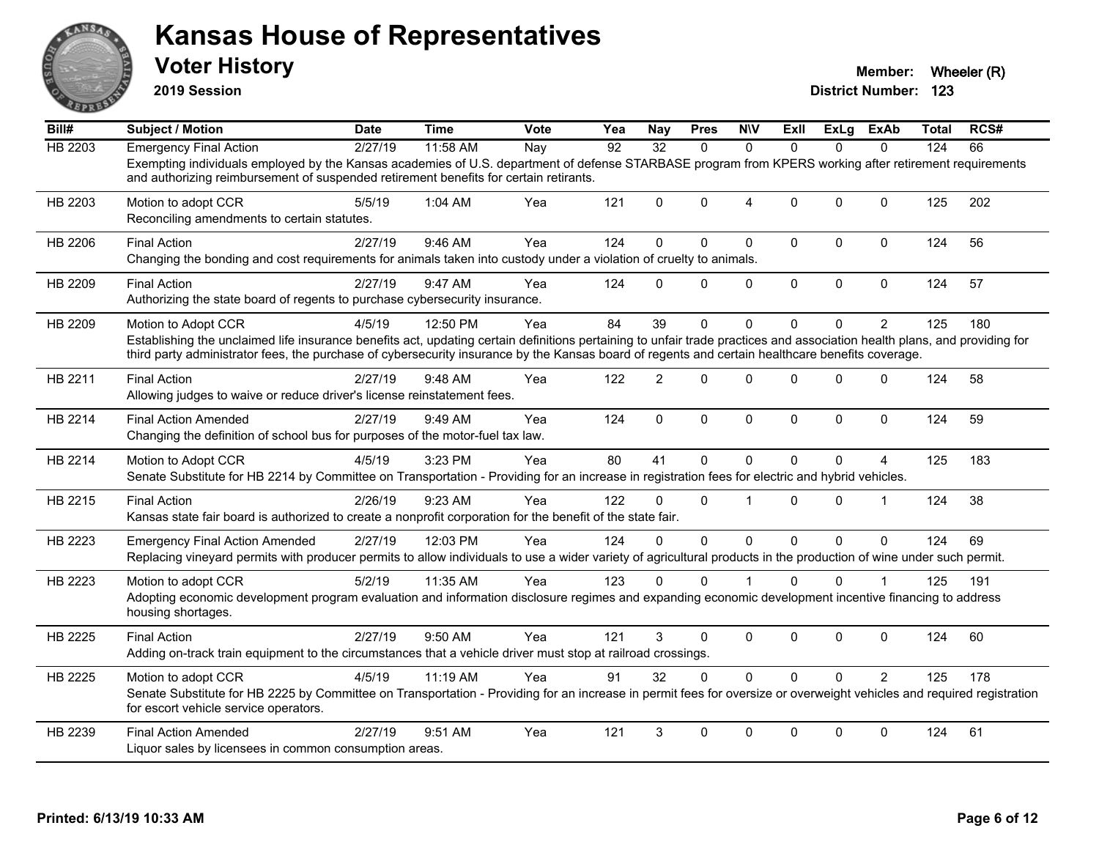

**2019 Session**

| Bill#          | <b>Subject / Motion</b>                                                                                                                                                                                                                                                                                                                              | Date    | Time     | Vote | Yea | <b>Nay</b>     | <b>Pres</b>  | <b>N\V</b>     | ExII         | ExLg         | ExAb           | Total | RCS# |
|----------------|------------------------------------------------------------------------------------------------------------------------------------------------------------------------------------------------------------------------------------------------------------------------------------------------------------------------------------------------------|---------|----------|------|-----|----------------|--------------|----------------|--------------|--------------|----------------|-------|------|
| <b>HB 2203</b> | <b>Emergency Final Action</b>                                                                                                                                                                                                                                                                                                                        | 2/27/19 | 11:58 AM | Nay  | 92  | 32             | $\Omega$     | $\Omega$       | $\Omega$     | $\Omega$     | $\Omega$       | 124   | 66   |
|                | Exempting individuals employed by the Kansas academies of U.S. department of defense STARBASE program from KPERS working after retirement requirements<br>and authorizing reimbursement of suspended retirement benefits for certain retirants.                                                                                                      |         |          |      |     |                |              |                |              |              |                |       |      |
| HB 2203        | Motion to adopt CCR<br>Reconciling amendments to certain statutes.                                                                                                                                                                                                                                                                                   | 5/5/19  | 1:04 AM  | Yea  | 121 | $\Omega$       | $\mathbf{0}$ | $\overline{4}$ | $\Omega$     | $\mathbf{0}$ | $\Omega$       | 125   | 202  |
| HB 2206        | <b>Final Action</b><br>Changing the bonding and cost requirements for animals taken into custody under a violation of cruelty to animals.                                                                                                                                                                                                            | 2/27/19 | 9:46 AM  | Yea  | 124 | $\Omega$       | 0            | 0              | $\mathbf 0$  | 0            | $\pmb{0}$      | 124   | 56   |
| HB 2209        | <b>Final Action</b><br>Authorizing the state board of regents to purchase cybersecurity insurance.                                                                                                                                                                                                                                                   | 2/27/19 | 9:47 AM  | Yea  | 124 | $\Omega$       | $\mathbf 0$  | 0              | $\mathbf 0$  | 0            | $\mathbf 0$    | 124   | 57   |
| HB 2209        | Motion to Adopt CCR<br>Establishing the unclaimed life insurance benefits act, updating certain definitions pertaining to unfair trade practices and association health plans, and providing for<br>third party administrator fees, the purchase of cybersecurity insurance by the Kansas board of regents and certain healthcare benefits coverage. | 4/5/19  | 12:50 PM | Yea  | 84  | 39             | $\Omega$     | $\Omega$       | $\Omega$     | 0            | $\overline{2}$ | 125   | 180  |
| HB 2211        | <b>Final Action</b><br>Allowing judges to waive or reduce driver's license reinstatement fees.                                                                                                                                                                                                                                                       | 2/27/19 | 9:48 AM  | Yea  | 122 | $\overline{2}$ | $\Omega$     | $\Omega$       | $\Omega$     | 0            | $\Omega$       | 124   | 58   |
| HB 2214        | <b>Final Action Amended</b><br>Changing the definition of school bus for purposes of the motor-fuel tax law.                                                                                                                                                                                                                                         | 2/27/19 | 9:49 AM  | Yea  | 124 | $\mathbf{0}$   | $\Omega$     | $\mathbf{0}$   | $\mathbf{0}$ | $\Omega$     | $\mathbf{0}$   | 124   | 59   |
| HB 2214        | Motion to Adopt CCR<br>Senate Substitute for HB 2214 by Committee on Transportation - Providing for an increase in registration fees for electric and hybrid vehicles.                                                                                                                                                                               | 4/5/19  | 3:23 PM  | Yea  | 80  | 41             | $\mathbf{0}$ | $\Omega$       | $\Omega$     | 0            | 4              | 125   | 183  |
| HB 2215        | <b>Final Action</b><br>Kansas state fair board is authorized to create a nonprofit corporation for the benefit of the state fair.                                                                                                                                                                                                                    | 2/26/19 | 9:23 AM  | Yea  | 122 | $\Omega$       | $\mathbf{0}$ | 1              | $\Omega$     | $\Omega$     | -1             | 124   | 38   |
| HB 2223        | <b>Emergency Final Action Amended</b><br>Replacing vineyard permits with producer permits to allow individuals to use a wider variety of agricultural products in the production of wine under such permit.                                                                                                                                          | 2/27/19 | 12:03 PM | Yea  | 124 | $\Omega$       | $\Omega$     | $\mathbf 0$    | $\Omega$     | $\Omega$     | $\Omega$       | 124   | 69   |
| HB 2223        | Motion to adopt CCR<br>Adopting economic development program evaluation and information disclosure regimes and expanding economic development incentive financing to address<br>housing shortages.                                                                                                                                                   | 5/2/19  | 11:35 AM | Yea  | 123 | $\Omega$       | $\mathbf{0}$ |                | $\Omega$     | 0            |                | 125   | 191  |
| HB 2225        | <b>Final Action</b><br>Adding on-track train equipment to the circumstances that a vehicle driver must stop at railroad crossings.                                                                                                                                                                                                                   | 2/27/19 | 9:50 AM  | Yea  | 121 | 3              | 0            | $\mathbf 0$    | $\mathbf 0$  | 0            | $\mathbf 0$    | 124   | 60   |
| HB 2225        | Motion to adopt CCR<br>Senate Substitute for HB 2225 by Committee on Transportation - Providing for an increase in permit fees for oversize or overweight vehicles and required registration<br>for escort vehicle service operators.                                                                                                                | 4/5/19  | 11:19 AM | Yea  | 91  | 32             | $\Omega$     | $\mathbf 0$    | $\Omega$     | $\Omega$     | $\overline{2}$ | 125   | 178  |
| HB 2239        | <b>Final Action Amended</b><br>Liquor sales by licensees in common consumption areas.                                                                                                                                                                                                                                                                | 2/27/19 | 9:51 AM  | Yea  | 121 | 3              | $\Omega$     | $\Omega$       | $\mathbf{0}$ | $\Omega$     | $\mathbf{0}$   | 124   | 61   |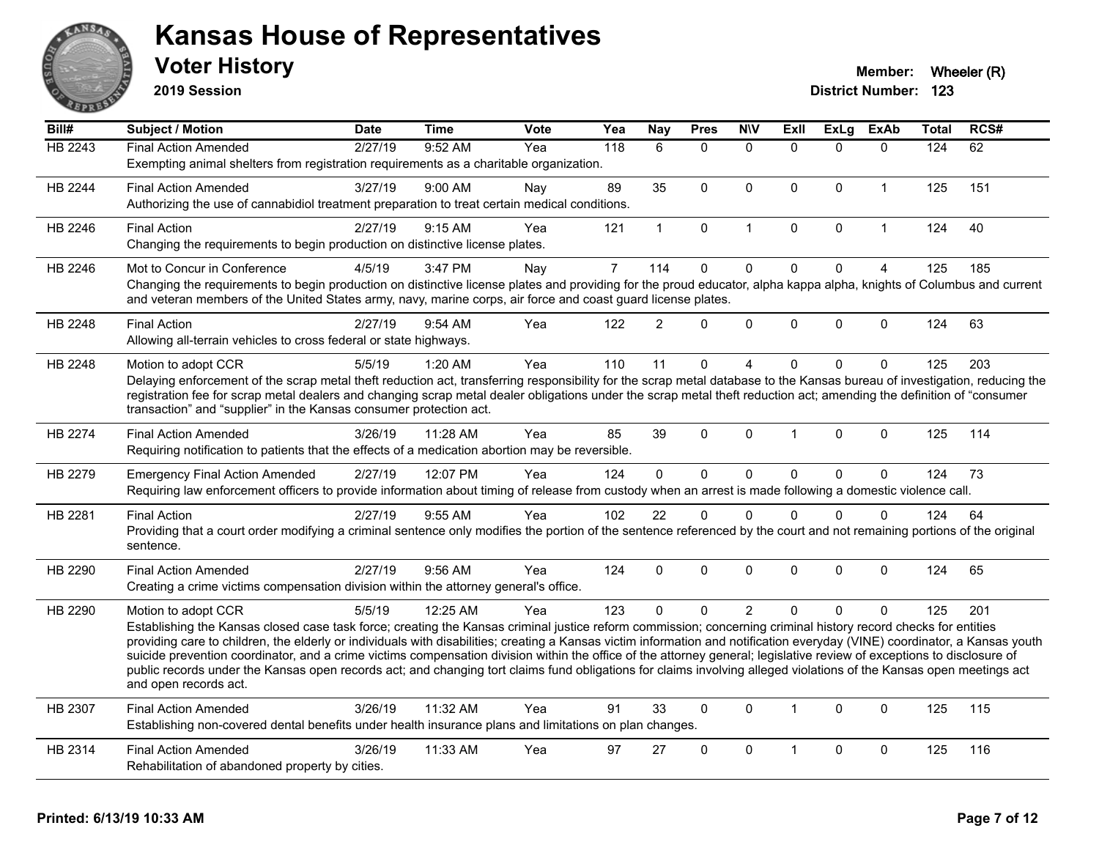

**2019 Session**

| <b>HB 2243</b><br>9:52 AM<br><b>Final Action Amended</b><br>2/27/19<br>118<br>6<br>$\Omega$<br>$\mathbf{0}$<br>$\Omega$<br>$\Omega$<br>$\Omega$<br>124<br>62<br>Yea<br>Exempting animal shelters from registration requirements as a charitable organization.<br>89<br>35<br>125<br>151<br>HB 2244<br>3/27/19<br>9:00 AM<br>$\mathbf 0$<br>$\mathbf 0$<br>$\Omega$<br>$\Omega$<br><b>Final Action Amended</b><br>$\mathbf{1}$<br>Nay<br>Authorizing the use of cannabidiol treatment preparation to treat certain medical conditions.<br>HB 2246<br>2/27/19<br>9:15 AM<br>$\mathbf 0$<br>$\Omega$<br>$\Omega$<br>124<br>40<br><b>Final Action</b><br>121<br>$\mathbf 1$<br>$\overline{1}$<br>$\mathbf{1}$<br>Yea<br>Changing the requirements to begin production on distinctive license plates.<br>$\overline{7}$<br>$\mathbf 0$<br>$\mathbf 0$<br>$\mathbf 0$<br>$\mathbf 0$<br>114<br>$\overline{4}$<br>125<br>185<br>HB 2246<br>3:47 PM<br>Mot to Concur in Conference<br>4/5/19<br>Nay<br>Changing the requirements to begin production on distinctive license plates and providing for the proud educator, alpha kappa alpha, knights of Columbus and current<br>and veteran members of the United States army, navy, marine corps, air force and coast guard license plates.<br>$\mathcal{P}$<br>$\Omega$<br>$\mathbf{0}$<br>$\Omega$<br>$\Omega$<br>$\mathbf 0$<br>124<br>63<br>HB 2248<br><b>Final Action</b><br>2/27/19<br>9:54 AM<br>Yea<br>122<br>Allowing all-terrain vehicles to cross federal or state highways.<br>HB 2248<br>5/5/19<br>1:20 AM<br>110<br>11<br>$\mathbf{0}$<br>$\Omega$<br>$\mathbf{0}$<br>125<br>203<br>Yea<br>4<br>$\Omega$<br>Motion to adopt CCR<br>Delaying enforcement of the scrap metal theft reduction act, transferring responsibility for the scrap metal database to the Kansas bureau of investigation, reducing the<br>registration fee for scrap metal dealers and changing scrap metal dealer obligations under the scrap metal theft reduction act; amending the definition of "consumer<br>transaction" and "supplier" in the Kansas consumer protection act.<br>39<br>$\mathbf{0}$<br>114<br><b>HB 2274</b><br><b>Final Action Amended</b><br>3/26/19<br>11:28 AM<br>85<br>$\mathbf{0}$<br>$\Omega$<br>$\mathbf{0}$<br>125<br>Yea<br>$\mathbf 1$<br>Requiring notification to patients that the effects of a medication abortion may be reversible.<br>$\mathbf 0$<br>$\mathbf 0$<br>$\pmb{0}$<br>73<br>HB 2279<br>2/27/19<br>12:07 PM<br>Yea<br>124<br>$\Omega$<br>$\Omega$<br>$\mathbf 0$<br>124<br><b>Emergency Final Action Amended</b><br>Requiring law enforcement officers to provide information about timing of release from custody when an arrest is made following a domestic violence call.<br>22<br>HB 2281<br>2/27/19<br>9:55 AM<br>102<br>$\mathbf{0}$<br>$\mathbf{0}$<br>$\Omega$<br>$\Omega$<br>$\mathbf{0}$<br>124<br>64<br><b>Final Action</b><br>Yea<br>Providing that a court order modifying a criminal sentence only modifies the portion of the sentence referenced by the court and not remaining portions of the original<br>sentence.<br>2/27/19<br>9:56 AM<br>124<br>$\Omega$<br>$\mathbf{0}$<br>$\mathbf{0}$<br>$\Omega$<br>$\Omega$<br>$\mathbf{0}$<br>124<br>65<br>HB 2290<br><b>Final Action Amended</b><br>Yea<br>Creating a crime victims compensation division within the attorney general's office.<br>$\overline{2}$<br>HB 2290<br>5/5/19<br>12:25 AM<br>123<br>0<br>$\Omega$<br>$\Omega$<br>$\Omega$<br>$\mathbf{0}$<br>125<br>201<br>Motion to adopt CCR<br>Yea<br>Establishing the Kansas closed case task force; creating the Kansas criminal justice reform commission; concerning criminal history record checks for entities<br>providing care to children, the elderly or individuals with disabilities; creating a Kansas victim information and notification everyday (VINE) coordinator, a Kansas youth<br>suicide prevention coordinator, and a crime victims compensation division within the office of the attorney general; legislative review of exceptions to disclosure of<br>public records under the Kansas open records act; and changing tort claims fund obligations for claims involving alleged violations of the Kansas open meetings act<br>and open records act.<br>11:32 AM<br>33<br>$\mathbf{0}$<br>125<br>HB 2307<br>3/26/19<br>Yea<br>91<br>$\mathbf{0}$<br>$\mathbf{0}$<br>$\mathbf{0}$<br>115<br><b>Final Action Amended</b><br>$\mathbf{1}$<br>Establishing non-covered dental benefits under health insurance plans and limitations on plan changes.<br>11:33 AM<br>97<br>$\Omega$<br>$\mathbf{0}$<br>$\Omega$<br>$\mathbf{0}$<br>125<br>116<br>HB 2314<br><b>Final Action Amended</b><br>3/26/19<br>Yea<br>27<br>1<br>Rehabilitation of abandoned property by cities. | $\overline{BiII#}$ | <b>Subject / Motion</b> | <b>Date</b> | <b>Time</b> | Vote | Yea | <b>Nay</b> | <b>Pres</b> | <b>N\V</b> | Exll | <b>ExLg</b> | <b>ExAb</b> | <b>Total</b> | RCS# |
|------------------------------------------------------------------------------------------------------------------------------------------------------------------------------------------------------------------------------------------------------------------------------------------------------------------------------------------------------------------------------------------------------------------------------------------------------------------------------------------------------------------------------------------------------------------------------------------------------------------------------------------------------------------------------------------------------------------------------------------------------------------------------------------------------------------------------------------------------------------------------------------------------------------------------------------------------------------------------------------------------------------------------------------------------------------------------------------------------------------------------------------------------------------------------------------------------------------------------------------------------------------------------------------------------------------------------------------------------------------------------------------------------------------------------------------------------------------------------------------------------------------------------------------------------------------------------------------------------------------------------------------------------------------------------------------------------------------------------------------------------------------------------------------------------------------------------------------------------------------------------------------------------------------------------------------------------------------------------------------------------------------------------------------------------------------------------------------------------------------------------------------------------------------------------------------------------------------------------------------------------------------------------------------------------------------------------------------------------------------------------------------------------------------------------------------------------------------------------------------------------------------------------------------------------------------------------------------------------------------------------------------------------------------------------------------------------------------------------------------------------------------------------------------------------------------------------------------------------------------------------------------------------------------------------------------------------------------------------------------------------------------------------------------------------------------------------------------------------------------------------------------------------------------------------------------------------------------------------------------------------------------------------------------------------------------------------------------------------------------------------------------------------------------------------------------------------------------------------------------------------------------------------------------------------------------------------------------------------------------------------------------------------------------------------------------------------------------------------------------------------------------------------------------------------------------------------------------------------------------------------------------------------------------------------------------------------------------------------------------------------------------------------------------------------------------------------------------------------------------------------------------------------------------------------------------------------------------------------------------------------------------------------------------------------------------------------------------------------------------------------------------------------------------------------------------------------------------------------------------------------------------------------------------------------------------------------------------------------------------------------------------------------------------------------------------------------------------------------------------------------------------------------------------------------|--------------------|-------------------------|-------------|-------------|------|-----|------------|-------------|------------|------|-------------|-------------|--------------|------|
|                                                                                                                                                                                                                                                                                                                                                                                                                                                                                                                                                                                                                                                                                                                                                                                                                                                                                                                                                                                                                                                                                                                                                                                                                                                                                                                                                                                                                                                                                                                                                                                                                                                                                                                                                                                                                                                                                                                                                                                                                                                                                                                                                                                                                                                                                                                                                                                                                                                                                                                                                                                                                                                                                                                                                                                                                                                                                                                                                                                                                                                                                                                                                                                                                                                                                                                                                                                                                                                                                                                                                                                                                                                                                                                                                                                                                                                                                                                                                                                                                                                                                                                                                                                                                                                                                                                                                                                                                                                                                                                                                                                                                                                                                                                                                                                                      |                    |                         |             |             |      |     |            |             |            |      |             |             |              |      |
|                                                                                                                                                                                                                                                                                                                                                                                                                                                                                                                                                                                                                                                                                                                                                                                                                                                                                                                                                                                                                                                                                                                                                                                                                                                                                                                                                                                                                                                                                                                                                                                                                                                                                                                                                                                                                                                                                                                                                                                                                                                                                                                                                                                                                                                                                                                                                                                                                                                                                                                                                                                                                                                                                                                                                                                                                                                                                                                                                                                                                                                                                                                                                                                                                                                                                                                                                                                                                                                                                                                                                                                                                                                                                                                                                                                                                                                                                                                                                                                                                                                                                                                                                                                                                                                                                                                                                                                                                                                                                                                                                                                                                                                                                                                                                                                                      |                    |                         |             |             |      |     |            |             |            |      |             |             |              |      |
|                                                                                                                                                                                                                                                                                                                                                                                                                                                                                                                                                                                                                                                                                                                                                                                                                                                                                                                                                                                                                                                                                                                                                                                                                                                                                                                                                                                                                                                                                                                                                                                                                                                                                                                                                                                                                                                                                                                                                                                                                                                                                                                                                                                                                                                                                                                                                                                                                                                                                                                                                                                                                                                                                                                                                                                                                                                                                                                                                                                                                                                                                                                                                                                                                                                                                                                                                                                                                                                                                                                                                                                                                                                                                                                                                                                                                                                                                                                                                                                                                                                                                                                                                                                                                                                                                                                                                                                                                                                                                                                                                                                                                                                                                                                                                                                                      |                    |                         |             |             |      |     |            |             |            |      |             |             |              |      |
|                                                                                                                                                                                                                                                                                                                                                                                                                                                                                                                                                                                                                                                                                                                                                                                                                                                                                                                                                                                                                                                                                                                                                                                                                                                                                                                                                                                                                                                                                                                                                                                                                                                                                                                                                                                                                                                                                                                                                                                                                                                                                                                                                                                                                                                                                                                                                                                                                                                                                                                                                                                                                                                                                                                                                                                                                                                                                                                                                                                                                                                                                                                                                                                                                                                                                                                                                                                                                                                                                                                                                                                                                                                                                                                                                                                                                                                                                                                                                                                                                                                                                                                                                                                                                                                                                                                                                                                                                                                                                                                                                                                                                                                                                                                                                                                                      |                    |                         |             |             |      |     |            |             |            |      |             |             |              |      |
|                                                                                                                                                                                                                                                                                                                                                                                                                                                                                                                                                                                                                                                                                                                                                                                                                                                                                                                                                                                                                                                                                                                                                                                                                                                                                                                                                                                                                                                                                                                                                                                                                                                                                                                                                                                                                                                                                                                                                                                                                                                                                                                                                                                                                                                                                                                                                                                                                                                                                                                                                                                                                                                                                                                                                                                                                                                                                                                                                                                                                                                                                                                                                                                                                                                                                                                                                                                                                                                                                                                                                                                                                                                                                                                                                                                                                                                                                                                                                                                                                                                                                                                                                                                                                                                                                                                                                                                                                                                                                                                                                                                                                                                                                                                                                                                                      |                    |                         |             |             |      |     |            |             |            |      |             |             |              |      |
|                                                                                                                                                                                                                                                                                                                                                                                                                                                                                                                                                                                                                                                                                                                                                                                                                                                                                                                                                                                                                                                                                                                                                                                                                                                                                                                                                                                                                                                                                                                                                                                                                                                                                                                                                                                                                                                                                                                                                                                                                                                                                                                                                                                                                                                                                                                                                                                                                                                                                                                                                                                                                                                                                                                                                                                                                                                                                                                                                                                                                                                                                                                                                                                                                                                                                                                                                                                                                                                                                                                                                                                                                                                                                                                                                                                                                                                                                                                                                                                                                                                                                                                                                                                                                                                                                                                                                                                                                                                                                                                                                                                                                                                                                                                                                                                                      |                    |                         |             |             |      |     |            |             |            |      |             |             |              |      |
|                                                                                                                                                                                                                                                                                                                                                                                                                                                                                                                                                                                                                                                                                                                                                                                                                                                                                                                                                                                                                                                                                                                                                                                                                                                                                                                                                                                                                                                                                                                                                                                                                                                                                                                                                                                                                                                                                                                                                                                                                                                                                                                                                                                                                                                                                                                                                                                                                                                                                                                                                                                                                                                                                                                                                                                                                                                                                                                                                                                                                                                                                                                                                                                                                                                                                                                                                                                                                                                                                                                                                                                                                                                                                                                                                                                                                                                                                                                                                                                                                                                                                                                                                                                                                                                                                                                                                                                                                                                                                                                                                                                                                                                                                                                                                                                                      |                    |                         |             |             |      |     |            |             |            |      |             |             |              |      |
|                                                                                                                                                                                                                                                                                                                                                                                                                                                                                                                                                                                                                                                                                                                                                                                                                                                                                                                                                                                                                                                                                                                                                                                                                                                                                                                                                                                                                                                                                                                                                                                                                                                                                                                                                                                                                                                                                                                                                                                                                                                                                                                                                                                                                                                                                                                                                                                                                                                                                                                                                                                                                                                                                                                                                                                                                                                                                                                                                                                                                                                                                                                                                                                                                                                                                                                                                                                                                                                                                                                                                                                                                                                                                                                                                                                                                                                                                                                                                                                                                                                                                                                                                                                                                                                                                                                                                                                                                                                                                                                                                                                                                                                                                                                                                                                                      |                    |                         |             |             |      |     |            |             |            |      |             |             |              |      |
|                                                                                                                                                                                                                                                                                                                                                                                                                                                                                                                                                                                                                                                                                                                                                                                                                                                                                                                                                                                                                                                                                                                                                                                                                                                                                                                                                                                                                                                                                                                                                                                                                                                                                                                                                                                                                                                                                                                                                                                                                                                                                                                                                                                                                                                                                                                                                                                                                                                                                                                                                                                                                                                                                                                                                                                                                                                                                                                                                                                                                                                                                                                                                                                                                                                                                                                                                                                                                                                                                                                                                                                                                                                                                                                                                                                                                                                                                                                                                                                                                                                                                                                                                                                                                                                                                                                                                                                                                                                                                                                                                                                                                                                                                                                                                                                                      |                    |                         |             |             |      |     |            |             |            |      |             |             |              |      |
|                                                                                                                                                                                                                                                                                                                                                                                                                                                                                                                                                                                                                                                                                                                                                                                                                                                                                                                                                                                                                                                                                                                                                                                                                                                                                                                                                                                                                                                                                                                                                                                                                                                                                                                                                                                                                                                                                                                                                                                                                                                                                                                                                                                                                                                                                                                                                                                                                                                                                                                                                                                                                                                                                                                                                                                                                                                                                                                                                                                                                                                                                                                                                                                                                                                                                                                                                                                                                                                                                                                                                                                                                                                                                                                                                                                                                                                                                                                                                                                                                                                                                                                                                                                                                                                                                                                                                                                                                                                                                                                                                                                                                                                                                                                                                                                                      |                    |                         |             |             |      |     |            |             |            |      |             |             |              |      |
|                                                                                                                                                                                                                                                                                                                                                                                                                                                                                                                                                                                                                                                                                                                                                                                                                                                                                                                                                                                                                                                                                                                                                                                                                                                                                                                                                                                                                                                                                                                                                                                                                                                                                                                                                                                                                                                                                                                                                                                                                                                                                                                                                                                                                                                                                                                                                                                                                                                                                                                                                                                                                                                                                                                                                                                                                                                                                                                                                                                                                                                                                                                                                                                                                                                                                                                                                                                                                                                                                                                                                                                                                                                                                                                                                                                                                                                                                                                                                                                                                                                                                                                                                                                                                                                                                                                                                                                                                                                                                                                                                                                                                                                                                                                                                                                                      |                    |                         |             |             |      |     |            |             |            |      |             |             |              |      |
|                                                                                                                                                                                                                                                                                                                                                                                                                                                                                                                                                                                                                                                                                                                                                                                                                                                                                                                                                                                                                                                                                                                                                                                                                                                                                                                                                                                                                                                                                                                                                                                                                                                                                                                                                                                                                                                                                                                                                                                                                                                                                                                                                                                                                                                                                                                                                                                                                                                                                                                                                                                                                                                                                                                                                                                                                                                                                                                                                                                                                                                                                                                                                                                                                                                                                                                                                                                                                                                                                                                                                                                                                                                                                                                                                                                                                                                                                                                                                                                                                                                                                                                                                                                                                                                                                                                                                                                                                                                                                                                                                                                                                                                                                                                                                                                                      |                    |                         |             |             |      |     |            |             |            |      |             |             |              |      |
|                                                                                                                                                                                                                                                                                                                                                                                                                                                                                                                                                                                                                                                                                                                                                                                                                                                                                                                                                                                                                                                                                                                                                                                                                                                                                                                                                                                                                                                                                                                                                                                                                                                                                                                                                                                                                                                                                                                                                                                                                                                                                                                                                                                                                                                                                                                                                                                                                                                                                                                                                                                                                                                                                                                                                                                                                                                                                                                                                                                                                                                                                                                                                                                                                                                                                                                                                                                                                                                                                                                                                                                                                                                                                                                                                                                                                                                                                                                                                                                                                                                                                                                                                                                                                                                                                                                                                                                                                                                                                                                                                                                                                                                                                                                                                                                                      |                    |                         |             |             |      |     |            |             |            |      |             |             |              |      |
|                                                                                                                                                                                                                                                                                                                                                                                                                                                                                                                                                                                                                                                                                                                                                                                                                                                                                                                                                                                                                                                                                                                                                                                                                                                                                                                                                                                                                                                                                                                                                                                                                                                                                                                                                                                                                                                                                                                                                                                                                                                                                                                                                                                                                                                                                                                                                                                                                                                                                                                                                                                                                                                                                                                                                                                                                                                                                                                                                                                                                                                                                                                                                                                                                                                                                                                                                                                                                                                                                                                                                                                                                                                                                                                                                                                                                                                                                                                                                                                                                                                                                                                                                                                                                                                                                                                                                                                                                                                                                                                                                                                                                                                                                                                                                                                                      |                    |                         |             |             |      |     |            |             |            |      |             |             |              |      |
|                                                                                                                                                                                                                                                                                                                                                                                                                                                                                                                                                                                                                                                                                                                                                                                                                                                                                                                                                                                                                                                                                                                                                                                                                                                                                                                                                                                                                                                                                                                                                                                                                                                                                                                                                                                                                                                                                                                                                                                                                                                                                                                                                                                                                                                                                                                                                                                                                                                                                                                                                                                                                                                                                                                                                                                                                                                                                                                                                                                                                                                                                                                                                                                                                                                                                                                                                                                                                                                                                                                                                                                                                                                                                                                                                                                                                                                                                                                                                                                                                                                                                                                                                                                                                                                                                                                                                                                                                                                                                                                                                                                                                                                                                                                                                                                                      |                    |                         |             |             |      |     |            |             |            |      |             |             |              |      |
|                                                                                                                                                                                                                                                                                                                                                                                                                                                                                                                                                                                                                                                                                                                                                                                                                                                                                                                                                                                                                                                                                                                                                                                                                                                                                                                                                                                                                                                                                                                                                                                                                                                                                                                                                                                                                                                                                                                                                                                                                                                                                                                                                                                                                                                                                                                                                                                                                                                                                                                                                                                                                                                                                                                                                                                                                                                                                                                                                                                                                                                                                                                                                                                                                                                                                                                                                                                                                                                                                                                                                                                                                                                                                                                                                                                                                                                                                                                                                                                                                                                                                                                                                                                                                                                                                                                                                                                                                                                                                                                                                                                                                                                                                                                                                                                                      |                    |                         |             |             |      |     |            |             |            |      |             |             |              |      |
|                                                                                                                                                                                                                                                                                                                                                                                                                                                                                                                                                                                                                                                                                                                                                                                                                                                                                                                                                                                                                                                                                                                                                                                                                                                                                                                                                                                                                                                                                                                                                                                                                                                                                                                                                                                                                                                                                                                                                                                                                                                                                                                                                                                                                                                                                                                                                                                                                                                                                                                                                                                                                                                                                                                                                                                                                                                                                                                                                                                                                                                                                                                                                                                                                                                                                                                                                                                                                                                                                                                                                                                                                                                                                                                                                                                                                                                                                                                                                                                                                                                                                                                                                                                                                                                                                                                                                                                                                                                                                                                                                                                                                                                                                                                                                                                                      |                    |                         |             |             |      |     |            |             |            |      |             |             |              |      |
|                                                                                                                                                                                                                                                                                                                                                                                                                                                                                                                                                                                                                                                                                                                                                                                                                                                                                                                                                                                                                                                                                                                                                                                                                                                                                                                                                                                                                                                                                                                                                                                                                                                                                                                                                                                                                                                                                                                                                                                                                                                                                                                                                                                                                                                                                                                                                                                                                                                                                                                                                                                                                                                                                                                                                                                                                                                                                                                                                                                                                                                                                                                                                                                                                                                                                                                                                                                                                                                                                                                                                                                                                                                                                                                                                                                                                                                                                                                                                                                                                                                                                                                                                                                                                                                                                                                                                                                                                                                                                                                                                                                                                                                                                                                                                                                                      |                    |                         |             |             |      |     |            |             |            |      |             |             |              |      |
|                                                                                                                                                                                                                                                                                                                                                                                                                                                                                                                                                                                                                                                                                                                                                                                                                                                                                                                                                                                                                                                                                                                                                                                                                                                                                                                                                                                                                                                                                                                                                                                                                                                                                                                                                                                                                                                                                                                                                                                                                                                                                                                                                                                                                                                                                                                                                                                                                                                                                                                                                                                                                                                                                                                                                                                                                                                                                                                                                                                                                                                                                                                                                                                                                                                                                                                                                                                                                                                                                                                                                                                                                                                                                                                                                                                                                                                                                                                                                                                                                                                                                                                                                                                                                                                                                                                                                                                                                                                                                                                                                                                                                                                                                                                                                                                                      |                    |                         |             |             |      |     |            |             |            |      |             |             |              |      |
|                                                                                                                                                                                                                                                                                                                                                                                                                                                                                                                                                                                                                                                                                                                                                                                                                                                                                                                                                                                                                                                                                                                                                                                                                                                                                                                                                                                                                                                                                                                                                                                                                                                                                                                                                                                                                                                                                                                                                                                                                                                                                                                                                                                                                                                                                                                                                                                                                                                                                                                                                                                                                                                                                                                                                                                                                                                                                                                                                                                                                                                                                                                                                                                                                                                                                                                                                                                                                                                                                                                                                                                                                                                                                                                                                                                                                                                                                                                                                                                                                                                                                                                                                                                                                                                                                                                                                                                                                                                                                                                                                                                                                                                                                                                                                                                                      |                    |                         |             |             |      |     |            |             |            |      |             |             |              |      |
|                                                                                                                                                                                                                                                                                                                                                                                                                                                                                                                                                                                                                                                                                                                                                                                                                                                                                                                                                                                                                                                                                                                                                                                                                                                                                                                                                                                                                                                                                                                                                                                                                                                                                                                                                                                                                                                                                                                                                                                                                                                                                                                                                                                                                                                                                                                                                                                                                                                                                                                                                                                                                                                                                                                                                                                                                                                                                                                                                                                                                                                                                                                                                                                                                                                                                                                                                                                                                                                                                                                                                                                                                                                                                                                                                                                                                                                                                                                                                                                                                                                                                                                                                                                                                                                                                                                                                                                                                                                                                                                                                                                                                                                                                                                                                                                                      |                    |                         |             |             |      |     |            |             |            |      |             |             |              |      |
|                                                                                                                                                                                                                                                                                                                                                                                                                                                                                                                                                                                                                                                                                                                                                                                                                                                                                                                                                                                                                                                                                                                                                                                                                                                                                                                                                                                                                                                                                                                                                                                                                                                                                                                                                                                                                                                                                                                                                                                                                                                                                                                                                                                                                                                                                                                                                                                                                                                                                                                                                                                                                                                                                                                                                                                                                                                                                                                                                                                                                                                                                                                                                                                                                                                                                                                                                                                                                                                                                                                                                                                                                                                                                                                                                                                                                                                                                                                                                                                                                                                                                                                                                                                                                                                                                                                                                                                                                                                                                                                                                                                                                                                                                                                                                                                                      |                    |                         |             |             |      |     |            |             |            |      |             |             |              |      |
|                                                                                                                                                                                                                                                                                                                                                                                                                                                                                                                                                                                                                                                                                                                                                                                                                                                                                                                                                                                                                                                                                                                                                                                                                                                                                                                                                                                                                                                                                                                                                                                                                                                                                                                                                                                                                                                                                                                                                                                                                                                                                                                                                                                                                                                                                                                                                                                                                                                                                                                                                                                                                                                                                                                                                                                                                                                                                                                                                                                                                                                                                                                                                                                                                                                                                                                                                                                                                                                                                                                                                                                                                                                                                                                                                                                                                                                                                                                                                                                                                                                                                                                                                                                                                                                                                                                                                                                                                                                                                                                                                                                                                                                                                                                                                                                                      |                    |                         |             |             |      |     |            |             |            |      |             |             |              |      |
|                                                                                                                                                                                                                                                                                                                                                                                                                                                                                                                                                                                                                                                                                                                                                                                                                                                                                                                                                                                                                                                                                                                                                                                                                                                                                                                                                                                                                                                                                                                                                                                                                                                                                                                                                                                                                                                                                                                                                                                                                                                                                                                                                                                                                                                                                                                                                                                                                                                                                                                                                                                                                                                                                                                                                                                                                                                                                                                                                                                                                                                                                                                                                                                                                                                                                                                                                                                                                                                                                                                                                                                                                                                                                                                                                                                                                                                                                                                                                                                                                                                                                                                                                                                                                                                                                                                                                                                                                                                                                                                                                                                                                                                                                                                                                                                                      |                    |                         |             |             |      |     |            |             |            |      |             |             |              |      |
|                                                                                                                                                                                                                                                                                                                                                                                                                                                                                                                                                                                                                                                                                                                                                                                                                                                                                                                                                                                                                                                                                                                                                                                                                                                                                                                                                                                                                                                                                                                                                                                                                                                                                                                                                                                                                                                                                                                                                                                                                                                                                                                                                                                                                                                                                                                                                                                                                                                                                                                                                                                                                                                                                                                                                                                                                                                                                                                                                                                                                                                                                                                                                                                                                                                                                                                                                                                                                                                                                                                                                                                                                                                                                                                                                                                                                                                                                                                                                                                                                                                                                                                                                                                                                                                                                                                                                                                                                                                                                                                                                                                                                                                                                                                                                                                                      |                    |                         |             |             |      |     |            |             |            |      |             |             |              |      |
|                                                                                                                                                                                                                                                                                                                                                                                                                                                                                                                                                                                                                                                                                                                                                                                                                                                                                                                                                                                                                                                                                                                                                                                                                                                                                                                                                                                                                                                                                                                                                                                                                                                                                                                                                                                                                                                                                                                                                                                                                                                                                                                                                                                                                                                                                                                                                                                                                                                                                                                                                                                                                                                                                                                                                                                                                                                                                                                                                                                                                                                                                                                                                                                                                                                                                                                                                                                                                                                                                                                                                                                                                                                                                                                                                                                                                                                                                                                                                                                                                                                                                                                                                                                                                                                                                                                                                                                                                                                                                                                                                                                                                                                                                                                                                                                                      |                    |                         |             |             |      |     |            |             |            |      |             |             |              |      |
|                                                                                                                                                                                                                                                                                                                                                                                                                                                                                                                                                                                                                                                                                                                                                                                                                                                                                                                                                                                                                                                                                                                                                                                                                                                                                                                                                                                                                                                                                                                                                                                                                                                                                                                                                                                                                                                                                                                                                                                                                                                                                                                                                                                                                                                                                                                                                                                                                                                                                                                                                                                                                                                                                                                                                                                                                                                                                                                                                                                                                                                                                                                                                                                                                                                                                                                                                                                                                                                                                                                                                                                                                                                                                                                                                                                                                                                                                                                                                                                                                                                                                                                                                                                                                                                                                                                                                                                                                                                                                                                                                                                                                                                                                                                                                                                                      |                    |                         |             |             |      |     |            |             |            |      |             |             |              |      |
|                                                                                                                                                                                                                                                                                                                                                                                                                                                                                                                                                                                                                                                                                                                                                                                                                                                                                                                                                                                                                                                                                                                                                                                                                                                                                                                                                                                                                                                                                                                                                                                                                                                                                                                                                                                                                                                                                                                                                                                                                                                                                                                                                                                                                                                                                                                                                                                                                                                                                                                                                                                                                                                                                                                                                                                                                                                                                                                                                                                                                                                                                                                                                                                                                                                                                                                                                                                                                                                                                                                                                                                                                                                                                                                                                                                                                                                                                                                                                                                                                                                                                                                                                                                                                                                                                                                                                                                                                                                                                                                                                                                                                                                                                                                                                                                                      |                    |                         |             |             |      |     |            |             |            |      |             |             |              |      |
|                                                                                                                                                                                                                                                                                                                                                                                                                                                                                                                                                                                                                                                                                                                                                                                                                                                                                                                                                                                                                                                                                                                                                                                                                                                                                                                                                                                                                                                                                                                                                                                                                                                                                                                                                                                                                                                                                                                                                                                                                                                                                                                                                                                                                                                                                                                                                                                                                                                                                                                                                                                                                                                                                                                                                                                                                                                                                                                                                                                                                                                                                                                                                                                                                                                                                                                                                                                                                                                                                                                                                                                                                                                                                                                                                                                                                                                                                                                                                                                                                                                                                                                                                                                                                                                                                                                                                                                                                                                                                                                                                                                                                                                                                                                                                                                                      |                    |                         |             |             |      |     |            |             |            |      |             |             |              |      |
|                                                                                                                                                                                                                                                                                                                                                                                                                                                                                                                                                                                                                                                                                                                                                                                                                                                                                                                                                                                                                                                                                                                                                                                                                                                                                                                                                                                                                                                                                                                                                                                                                                                                                                                                                                                                                                                                                                                                                                                                                                                                                                                                                                                                                                                                                                                                                                                                                                                                                                                                                                                                                                                                                                                                                                                                                                                                                                                                                                                                                                                                                                                                                                                                                                                                                                                                                                                                                                                                                                                                                                                                                                                                                                                                                                                                                                                                                                                                                                                                                                                                                                                                                                                                                                                                                                                                                                                                                                                                                                                                                                                                                                                                                                                                                                                                      |                    |                         |             |             |      |     |            |             |            |      |             |             |              |      |
|                                                                                                                                                                                                                                                                                                                                                                                                                                                                                                                                                                                                                                                                                                                                                                                                                                                                                                                                                                                                                                                                                                                                                                                                                                                                                                                                                                                                                                                                                                                                                                                                                                                                                                                                                                                                                                                                                                                                                                                                                                                                                                                                                                                                                                                                                                                                                                                                                                                                                                                                                                                                                                                                                                                                                                                                                                                                                                                                                                                                                                                                                                                                                                                                                                                                                                                                                                                                                                                                                                                                                                                                                                                                                                                                                                                                                                                                                                                                                                                                                                                                                                                                                                                                                                                                                                                                                                                                                                                                                                                                                                                                                                                                                                                                                                                                      |                    |                         |             |             |      |     |            |             |            |      |             |             |              |      |
|                                                                                                                                                                                                                                                                                                                                                                                                                                                                                                                                                                                                                                                                                                                                                                                                                                                                                                                                                                                                                                                                                                                                                                                                                                                                                                                                                                                                                                                                                                                                                                                                                                                                                                                                                                                                                                                                                                                                                                                                                                                                                                                                                                                                                                                                                                                                                                                                                                                                                                                                                                                                                                                                                                                                                                                                                                                                                                                                                                                                                                                                                                                                                                                                                                                                                                                                                                                                                                                                                                                                                                                                                                                                                                                                                                                                                                                                                                                                                                                                                                                                                                                                                                                                                                                                                                                                                                                                                                                                                                                                                                                                                                                                                                                                                                                                      |                    |                         |             |             |      |     |            |             |            |      |             |             |              |      |
|                                                                                                                                                                                                                                                                                                                                                                                                                                                                                                                                                                                                                                                                                                                                                                                                                                                                                                                                                                                                                                                                                                                                                                                                                                                                                                                                                                                                                                                                                                                                                                                                                                                                                                                                                                                                                                                                                                                                                                                                                                                                                                                                                                                                                                                                                                                                                                                                                                                                                                                                                                                                                                                                                                                                                                                                                                                                                                                                                                                                                                                                                                                                                                                                                                                                                                                                                                                                                                                                                                                                                                                                                                                                                                                                                                                                                                                                                                                                                                                                                                                                                                                                                                                                                                                                                                                                                                                                                                                                                                                                                                                                                                                                                                                                                                                                      |                    |                         |             |             |      |     |            |             |            |      |             |             |              |      |
|                                                                                                                                                                                                                                                                                                                                                                                                                                                                                                                                                                                                                                                                                                                                                                                                                                                                                                                                                                                                                                                                                                                                                                                                                                                                                                                                                                                                                                                                                                                                                                                                                                                                                                                                                                                                                                                                                                                                                                                                                                                                                                                                                                                                                                                                                                                                                                                                                                                                                                                                                                                                                                                                                                                                                                                                                                                                                                                                                                                                                                                                                                                                                                                                                                                                                                                                                                                                                                                                                                                                                                                                                                                                                                                                                                                                                                                                                                                                                                                                                                                                                                                                                                                                                                                                                                                                                                                                                                                                                                                                                                                                                                                                                                                                                                                                      |                    |                         |             |             |      |     |            |             |            |      |             |             |              |      |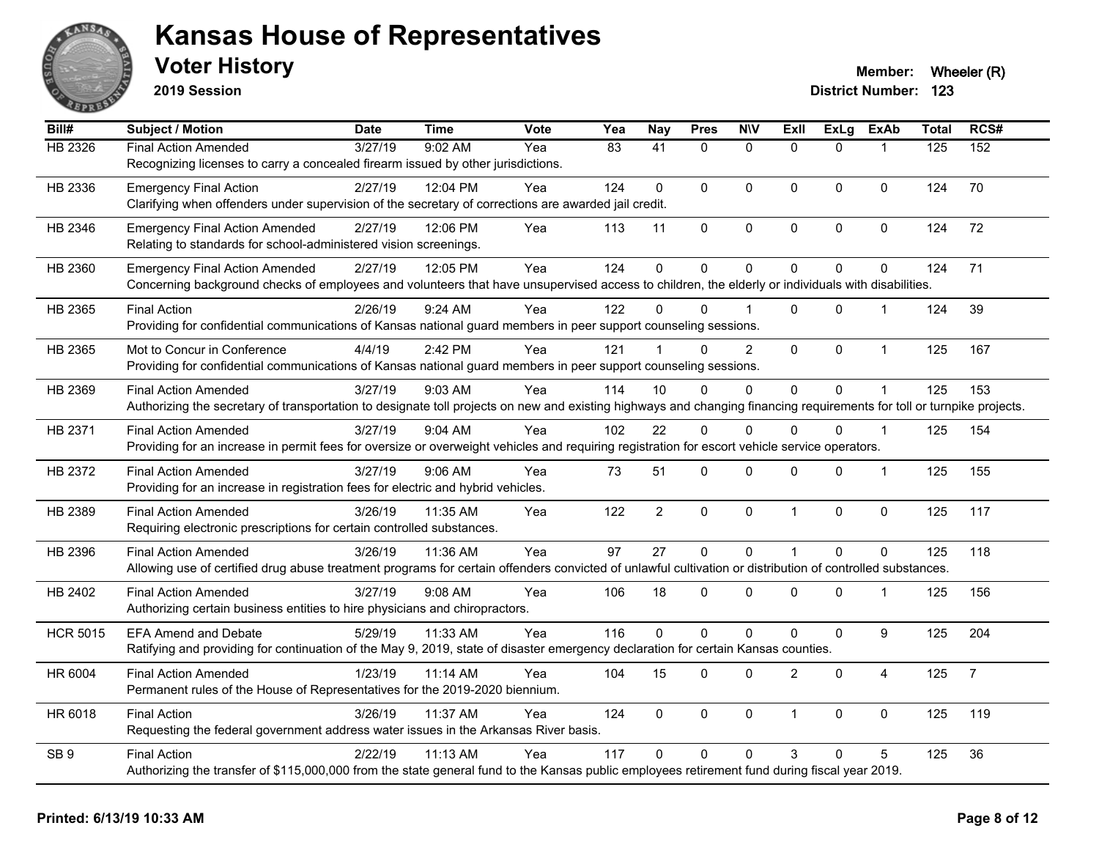

**2019 Session**

| Bill#           | <b>Subject / Motion</b>                                                                                                                                                                               | <b>Date</b> | <b>Time</b> | <b>Vote</b> | Yea | <b>Nay</b>     | <b>Pres</b>  | <b>N\V</b>   | ExIl           | <b>ExLg</b>    | <b>ExAb</b>    | <b>Total</b> | RCS#           |
|-----------------|-------------------------------------------------------------------------------------------------------------------------------------------------------------------------------------------------------|-------------|-------------|-------------|-----|----------------|--------------|--------------|----------------|----------------|----------------|--------------|----------------|
| <b>HB 2326</b>  | <b>Final Action Amended</b><br>Recognizing licenses to carry a concealed firearm issued by other jurisdictions.                                                                                       | 3/27/19     | 9:02 AM     | Yea         | 83  | 41             | $\mathbf{0}$ | $\mathbf{0}$ | $\Omega$       | $\Omega$       |                | 125          | 152            |
| HB 2336         | <b>Emergency Final Action</b><br>Clarifying when offenders under supervision of the secretary of corrections are awarded jail credit.                                                                 | 2/27/19     | 12:04 PM    | Yea         | 124 | $\mathbf 0$    | 0            | $\pmb{0}$    | 0              | 0              | $\mathbf 0$    | 124          | 70             |
| HB 2346         | <b>Emergency Final Action Amended</b><br>Relating to standards for school-administered vision screenings.                                                                                             | 2/27/19     | 12:06 PM    | Yea         | 113 | 11             | $\mathbf 0$  | $\pmb{0}$    | 0              | 0              | $\pmb{0}$      | 124          | 72             |
| HB 2360         | <b>Emergency Final Action Amended</b><br>Concerning background checks of employees and volunteers that have unsupervised access to children, the elderly or individuals with disabilities.            | 2/27/19     | 12:05 PM    | Yea         | 124 | 0              | 0            | $\mathbf 0$  | 0              | 0              | $\mathbf 0$    | 124          | 71             |
| HB 2365         | <b>Final Action</b><br>Providing for confidential communications of Kansas national guard members in peer support counseling sessions.                                                                | 2/26/19     | $9:24$ AM   | Yea         | 122 | 0              | $\Omega$     |              | $\Omega$       | $\Omega$       | $\mathbf{1}$   | 124          | 39             |
| HB 2365         | Mot to Concur in Conference<br>Providing for confidential communications of Kansas national guard members in peer support counseling sessions.                                                        | 4/4/19      | 2:42 PM     | Yea         | 121 |                | $\Omega$     | 2            | 0              | 0              | $\mathbf{1}$   | 125          | 167            |
| HB 2369         | <b>Final Action Amended</b><br>Authorizing the secretary of transportation to designate toll projects on new and existing highways and changing financing requirements for toll or turnpike projects. | 3/27/19     | 9:03 AM     | Yea         | 114 | 10             | $\Omega$     | $\mathbf{0}$ | $\Omega$       | 0              | $\mathbf{1}$   | 125          | 153            |
| HB 2371         | <b>Final Action Amended</b><br>Providing for an increase in permit fees for oversize or overweight vehicles and requiring registration for escort vehicle service operators.                          | 3/27/19     | 9:04 AM     | Yea         | 102 | 22             | $\Omega$     | $\mathbf{0}$ | 0              | $\Omega$       | -1             | 125          | 154            |
| HB 2372         | <b>Final Action Amended</b><br>Providing for an increase in registration fees for electric and hybrid vehicles.                                                                                       | 3/27/19     | 9:06 AM     | Yea         | 73  | 51             | 0            | $\mathbf 0$  | $\Omega$       | 0              | $\mathbf{1}$   | 125          | 155            |
| HB 2389         | <b>Final Action Amended</b><br>Requiring electronic prescriptions for certain controlled substances.                                                                                                  | 3/26/19     | 11:35 AM    | Yea         | 122 | $\overline{c}$ | $\mathbf 0$  | $\mathbf 0$  | $\mathbf{1}$   | 0              | $\pmb{0}$      | 125          | 117            |
| HB 2396         | <b>Final Action Amended</b><br>Allowing use of certified drug abuse treatment programs for certain offenders convicted of unlawful cultivation or distribution of controlled substances.              | 3/26/19     | 11:36 AM    | Yea         | 97  | 27             | $\mathbf 0$  | $\mathbf 0$  | $\mathbf{1}$   | $\overline{0}$ | $\mathbf{0}$   | 125          | 118            |
| HB 2402         | <b>Final Action Amended</b><br>Authorizing certain business entities to hire physicians and chiropractors.                                                                                            | 3/27/19     | $9:08$ AM   | Yea         | 106 | 18             | 0            | $\mathbf 0$  | $\Omega$       | 0              | $\mathbf 1$    | 125          | 156            |
| <b>HCR 5015</b> | <b>EFA Amend and Debate</b><br>Ratifying and providing for continuation of the May 9, 2019, state of disaster emergency declaration for certain Kansas counties.                                      | 5/29/19     | 11:33 AM    | Yea         | 116 | $\Omega$       | 0            | $\mathbf 0$  | $\Omega$       | 0              | 9              | 125          | 204            |
| HR 6004         | <b>Final Action Amended</b><br>Permanent rules of the House of Representatives for the 2019-2020 biennium.                                                                                            | 1/23/19     | 11:14 AM    | Yea         | 104 | 15             | 0            | $\mathbf 0$  | $\overline{2}$ | 0              | $\overline{4}$ | 125          | $\overline{7}$ |
| HR 6018         | <b>Final Action</b><br>Requesting the federal government address water issues in the Arkansas River basis.                                                                                            | 3/26/19     | 11:37 AM    | Yea         | 124 | $\Omega$       | $\mathbf{0}$ | $\mathbf 0$  | $\mathbf{1}$   | $\Omega$       | 0              | 125          | 119            |
| SB <sub>9</sub> | <b>Final Action</b><br>Authorizing the transfer of \$115,000,000 from the state general fund to the Kansas public employees retirement fund during fiscal year 2019.                                  | 2/22/19     | 11:13 AM    | Yea         | 117 | $\Omega$       | $\Omega$     | $\mathbf{0}$ | 3              | $\Omega$       | 5              | 125          | 36             |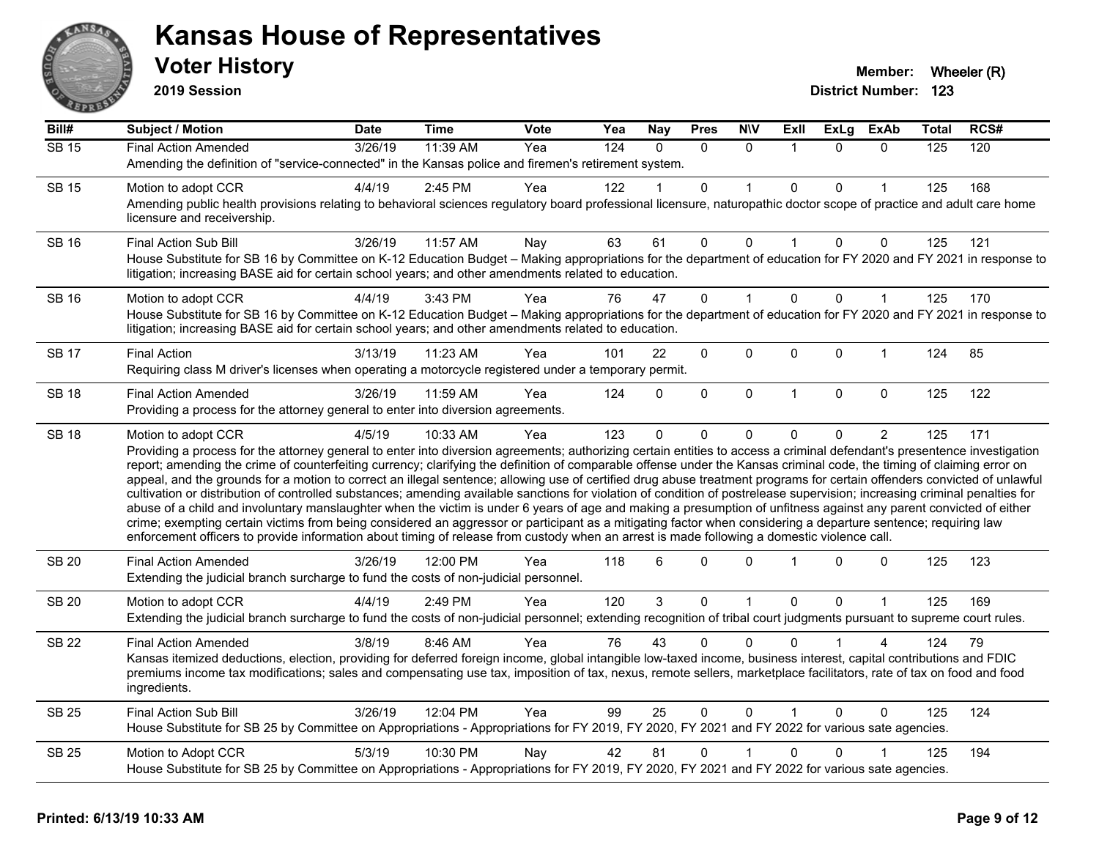

**2019 Session**

| Bill#        | <b>Subject / Motion</b>                                                                                                                                                                                                                                                                                                                                                                                                                                                                                                                                                                                                                                                                                                                                                                                                                                                                                                                                                                                                                                                                                                                                                                              | Date    | Time     | Vote | Yea              | <b>Nay</b> | <b>Pres</b>    | <b>N\V</b>   | ExII         | <b>ExLg</b> | <b>ExAb</b>    | <b>Total</b> | RCS# |
|--------------|------------------------------------------------------------------------------------------------------------------------------------------------------------------------------------------------------------------------------------------------------------------------------------------------------------------------------------------------------------------------------------------------------------------------------------------------------------------------------------------------------------------------------------------------------------------------------------------------------------------------------------------------------------------------------------------------------------------------------------------------------------------------------------------------------------------------------------------------------------------------------------------------------------------------------------------------------------------------------------------------------------------------------------------------------------------------------------------------------------------------------------------------------------------------------------------------------|---------|----------|------|------------------|------------|----------------|--------------|--------------|-------------|----------------|--------------|------|
| <b>SB 15</b> | <b>Final Action Amended</b>                                                                                                                                                                                                                                                                                                                                                                                                                                                                                                                                                                                                                                                                                                                                                                                                                                                                                                                                                                                                                                                                                                                                                                          | 3/26/19 | 11:39 AM | Yea  | $\overline{124}$ | $\Omega$   | $\Omega$       | $\Omega$     | -1           | $\Omega$    | $\Omega$       | 125          | 120  |
|              | Amending the definition of "service-connected" in the Kansas police and firemen's retirement system.                                                                                                                                                                                                                                                                                                                                                                                                                                                                                                                                                                                                                                                                                                                                                                                                                                                                                                                                                                                                                                                                                                 |         |          |      |                  |            |                |              |              |             |                |              |      |
| <b>SB 15</b> | Motion to adopt CCR                                                                                                                                                                                                                                                                                                                                                                                                                                                                                                                                                                                                                                                                                                                                                                                                                                                                                                                                                                                                                                                                                                                                                                                  | 4/4/19  | 2:45 PM  | Yea  | 122              |            | $\Omega$       |              | $\Omega$     | 0           |                | 125          | 168  |
|              | Amending public health provisions relating to behavioral sciences regulatory board professional licensure, naturopathic doctor scope of practice and adult care home<br>licensure and receivership.                                                                                                                                                                                                                                                                                                                                                                                                                                                                                                                                                                                                                                                                                                                                                                                                                                                                                                                                                                                                  |         |          |      |                  |            |                |              |              |             |                |              |      |
| <b>SB 16</b> | <b>Final Action Sub Bill</b>                                                                                                                                                                                                                                                                                                                                                                                                                                                                                                                                                                                                                                                                                                                                                                                                                                                                                                                                                                                                                                                                                                                                                                         | 3/26/19 | 11:57 AM | Nay  | 63               | 61         | 0              | $\mathbf 0$  | $\mathbf{1}$ | 0           | 0              | 125          | 121  |
|              | House Substitute for SB 16 by Committee on K-12 Education Budget - Making appropriations for the department of education for FY 2020 and FY 2021 in response to<br>litigation; increasing BASE aid for certain school years; and other amendments related to education.                                                                                                                                                                                                                                                                                                                                                                                                                                                                                                                                                                                                                                                                                                                                                                                                                                                                                                                              |         |          |      |                  |            |                |              |              |             |                |              |      |
| <b>SB 16</b> | Motion to adopt CCR                                                                                                                                                                                                                                                                                                                                                                                                                                                                                                                                                                                                                                                                                                                                                                                                                                                                                                                                                                                                                                                                                                                                                                                  | 4/4/19  | 3:43 PM  | Yea  | 76               | 47         | 0              |              | $\Omega$     | $\mathbf 0$ | $\mathbf{1}$   | 125          | 170  |
|              | House Substitute for SB 16 by Committee on K-12 Education Budget - Making appropriations for the department of education for FY 2020 and FY 2021 in response to<br>litigation; increasing BASE aid for certain school years; and other amendments related to education.                                                                                                                                                                                                                                                                                                                                                                                                                                                                                                                                                                                                                                                                                                                                                                                                                                                                                                                              |         |          |      |                  |            |                |              |              |             |                |              |      |
| <b>SB 17</b> | <b>Final Action</b>                                                                                                                                                                                                                                                                                                                                                                                                                                                                                                                                                                                                                                                                                                                                                                                                                                                                                                                                                                                                                                                                                                                                                                                  | 3/13/19 | 11:23 AM | Yea  | 101              | 22         | 0              | 0            | $\Omega$     | 0           | $\mathbf{1}$   | 124          | 85   |
|              | Requiring class M driver's licenses when operating a motorcycle registered under a temporary permit.                                                                                                                                                                                                                                                                                                                                                                                                                                                                                                                                                                                                                                                                                                                                                                                                                                                                                                                                                                                                                                                                                                 |         |          |      |                  |            |                |              |              |             |                |              |      |
| <b>SB 18</b> | <b>Final Action Amended</b>                                                                                                                                                                                                                                                                                                                                                                                                                                                                                                                                                                                                                                                                                                                                                                                                                                                                                                                                                                                                                                                                                                                                                                          | 3/26/19 | 11:59 AM | Yea  | 124              | 0          | 0              | $\mathbf 0$  | $\mathbf{1}$ | $\Omega$    | $\mathbf 0$    | 125          | 122  |
|              | Providing a process for the attorney general to enter into diversion agreements.                                                                                                                                                                                                                                                                                                                                                                                                                                                                                                                                                                                                                                                                                                                                                                                                                                                                                                                                                                                                                                                                                                                     |         |          |      |                  |            |                |              |              |             |                |              |      |
| <b>SB 18</b> | Motion to adopt CCR                                                                                                                                                                                                                                                                                                                                                                                                                                                                                                                                                                                                                                                                                                                                                                                                                                                                                                                                                                                                                                                                                                                                                                                  | 4/5/19  | 10:33 AM | Yea  | 123              | 0          | 0              | $\mathbf 0$  | $\Omega$     | 0           | $\overline{2}$ | 125          | 171  |
|              | Providing a process for the attorney general to enter into diversion agreements; authorizing certain entities to access a criminal defendant's presentence investigation<br>report; amending the crime of counterfeiting currency; clarifying the definition of comparable offense under the Kansas criminal code, the timing of claiming error on<br>appeal, and the grounds for a motion to correct an illegal sentence; allowing use of certified drug abuse treatment programs for certain offenders convicted of unlawful<br>cultivation or distribution of controlled substances; amending available sanctions for violation of condition of postrelease supervision; increasing criminal penalties for<br>abuse of a child and involuntary manslaughter when the victim is under 6 years of age and making a presumption of unfitness against any parent convicted of either<br>crime; exempting certain victims from being considered an aggressor or participant as a mitigating factor when considering a departure sentence; requiring law<br>enforcement officers to provide information about timing of release from custody when an arrest is made following a domestic violence call. |         |          |      |                  |            |                |              |              |             |                |              |      |
| <b>SB 20</b> | <b>Final Action Amended</b><br>Extending the judicial branch surcharge to fund the costs of non-judicial personnel.                                                                                                                                                                                                                                                                                                                                                                                                                                                                                                                                                                                                                                                                                                                                                                                                                                                                                                                                                                                                                                                                                  | 3/26/19 | 12:00 PM | Yea  | 118              | 6          | $\Omega$       | $\mathbf{0}$ |              | $\Omega$    | $\Omega$       | 125          | 123  |
| <b>SB 20</b> | Motion to adopt CCR                                                                                                                                                                                                                                                                                                                                                                                                                                                                                                                                                                                                                                                                                                                                                                                                                                                                                                                                                                                                                                                                                                                                                                                  | 4/4/19  | 2:49 PM  | Yea  | 120              | 3          | $\mathbf 0$    | $\mathbf{1}$ | $\mathbf 0$  | 0           | $\mathbf{1}$   | 125          | 169  |
|              | Extending the judicial branch surcharge to fund the costs of non-judicial personnel; extending recognition of tribal court judgments pursuant to supreme court rules.                                                                                                                                                                                                                                                                                                                                                                                                                                                                                                                                                                                                                                                                                                                                                                                                                                                                                                                                                                                                                                |         |          |      |                  |            |                |              |              |             |                |              |      |
| <b>SB 22</b> | <b>Final Action Amended</b>                                                                                                                                                                                                                                                                                                                                                                                                                                                                                                                                                                                                                                                                                                                                                                                                                                                                                                                                                                                                                                                                                                                                                                          | 3/8/19  | 8:46 AM  | Yea  | 76               | 43         | $\Omega$       | $\Omega$     |              |             |                | 124          | 79   |
|              | Kansas itemized deductions, election, providing for deferred foreign income, global intangible low-taxed income, business interest, capital contributions and FDIC<br>premiums income tax modifications; sales and compensating use tax, imposition of tax, nexus, remote sellers, marketplace facilitators, rate of tax on food and food<br>ingredients.                                                                                                                                                                                                                                                                                                                                                                                                                                                                                                                                                                                                                                                                                                                                                                                                                                            |         |          |      |                  |            |                |              |              |             |                |              |      |
| <b>SB 25</b> | <b>Final Action Sub Bill</b>                                                                                                                                                                                                                                                                                                                                                                                                                                                                                                                                                                                                                                                                                                                                                                                                                                                                                                                                                                                                                                                                                                                                                                         | 3/26/19 | 12:04 PM | Yea  | 99               | 25         | $\overline{0}$ | $\mathbf 0$  |              | $\Omega$    | $\Omega$       | 125          | 124  |
|              | House Substitute for SB 25 by Committee on Appropriations - Appropriations for FY 2019, FY 2020, FY 2021 and FY 2022 for various sate agencies.                                                                                                                                                                                                                                                                                                                                                                                                                                                                                                                                                                                                                                                                                                                                                                                                                                                                                                                                                                                                                                                      |         |          |      |                  |            |                |              |              |             |                |              |      |
| <b>SB 25</b> | Motion to Adopt CCR                                                                                                                                                                                                                                                                                                                                                                                                                                                                                                                                                                                                                                                                                                                                                                                                                                                                                                                                                                                                                                                                                                                                                                                  | 5/3/19  | 10:30 PM | Nay  | 42               | 81         | 0              |              | 0            | 0           |                | 125          | 194  |
|              | House Substitute for SB 25 by Committee on Appropriations - Appropriations for FY 2019, FY 2020, FY 2021 and FY 2022 for various sate agencies.                                                                                                                                                                                                                                                                                                                                                                                                                                                                                                                                                                                                                                                                                                                                                                                                                                                                                                                                                                                                                                                      |         |          |      |                  |            |                |              |              |             |                |              |      |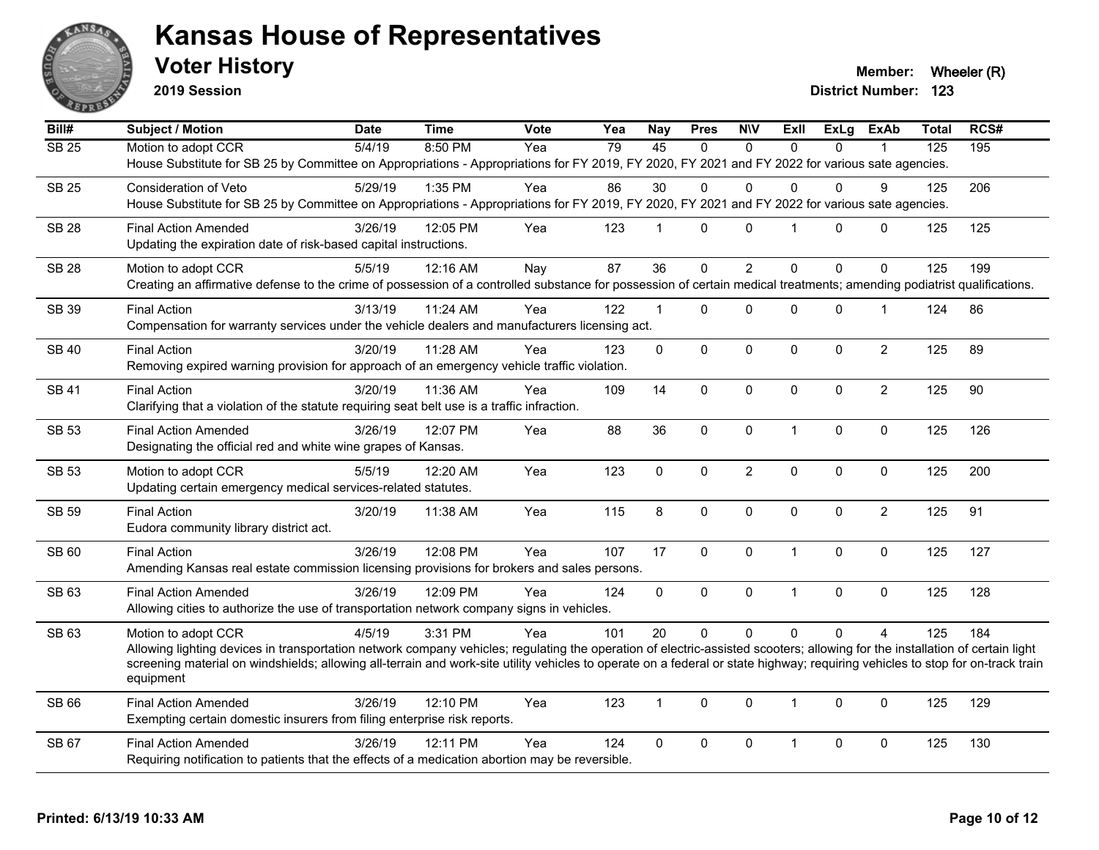

**2019 Session**

**Voter History Member: Wheeler (R) Member: Wheeler (R)** 

| Bill#        | <b>Subject / Motion</b>                                                                                                                                                                                                                                                                                                                                        | <b>Date</b> | <b>Time</b> | Vote | Yea | <b>Nay</b>   | <b>Pres</b> | <b>NIV</b>     | <b>Exll</b>          | ExLg        | <b>ExAb</b>    | <b>Total</b> | RCS# |
|--------------|----------------------------------------------------------------------------------------------------------------------------------------------------------------------------------------------------------------------------------------------------------------------------------------------------------------------------------------------------------------|-------------|-------------|------|-----|--------------|-------------|----------------|----------------------|-------------|----------------|--------------|------|
| <b>SB 25</b> | Motion to adopt CCR                                                                                                                                                                                                                                                                                                                                            | 5/4/19      | 8:50 PM     | Yea  | 79  | 45           | $\Omega$    | $\mathbf{0}$   | $\Omega$             | $\Omega$    |                | 125          | 195  |
|              | House Substitute for SB 25 by Committee on Appropriations - Appropriations for FY 2019, FY 2020, FY 2021 and FY 2022 for various sate agencies.                                                                                                                                                                                                                |             |             |      |     |              |             |                |                      |             |                |              |      |
| <b>SB 25</b> | <b>Consideration of Veto</b>                                                                                                                                                                                                                                                                                                                                   | 5/29/19     | 1:35 PM     | Yea  | 86  | 30           | $\mathbf 0$ | $\mathbf{0}$   | $\Omega$             | $\Omega$    | 9              | 125          | 206  |
|              | House Substitute for SB 25 by Committee on Appropriations - Appropriations for FY 2019, FY 2020, FY 2021 and FY 2022 for various sate agencies.                                                                                                                                                                                                                |             |             |      |     |              |             |                |                      |             |                |              |      |
| <b>SB 28</b> | <b>Final Action Amended</b>                                                                                                                                                                                                                                                                                                                                    | 3/26/19     | 12:05 PM    | Yea  | 123 | 1            | $\Omega$    | $\mathbf{0}$   | $\blacktriangleleft$ | $\Omega$    | $\mathbf 0$    | 125          | 125  |
|              | Updating the expiration date of risk-based capital instructions.                                                                                                                                                                                                                                                                                               |             |             |      |     |              |             |                |                      |             |                |              |      |
| <b>SB 28</b> | Motion to adopt CCR                                                                                                                                                                                                                                                                                                                                            | 5/5/19      | 12:16 AM    | Nay  | 87  | 36           | $\Omega$    | $\overline{2}$ | $\Omega$             | $\Omega$    | $\Omega$       | 125          | 199  |
|              | Creating an affirmative defense to the crime of possession of a controlled substance for possession of certain medical treatments; amending podiatrist qualifications.                                                                                                                                                                                         |             |             |      |     |              |             |                |                      |             |                |              |      |
|              |                                                                                                                                                                                                                                                                                                                                                                |             |             |      |     |              |             |                |                      |             |                |              |      |
| SB 39        | <b>Final Action</b><br>Compensation for warranty services under the vehicle dealers and manufacturers licensing act.                                                                                                                                                                                                                                           | 3/13/19     | 11:24 AM    | Yea  | 122 | $\mathbf{1}$ | $\Omega$    | $\mathbf 0$    | $\Omega$             | 0           | $\mathbf{1}$   | 124          | 86   |
|              |                                                                                                                                                                                                                                                                                                                                                                |             |             |      |     |              |             |                |                      |             |                |              |      |
| <b>SB 40</b> | <b>Final Action</b>                                                                                                                                                                                                                                                                                                                                            | 3/20/19     | 11:28 AM    | Yea  | 123 | 0            | $\pmb{0}$   | $\mathbf 0$    | $\mathbf{0}$         | 0           | $\overline{c}$ | 125          | 89   |
|              | Removing expired warning provision for approach of an emergency vehicle traffic violation.                                                                                                                                                                                                                                                                     |             |             |      |     |              |             |                |                      |             |                |              |      |
| <b>SB 41</b> | <b>Final Action</b>                                                                                                                                                                                                                                                                                                                                            | 3/20/19     | 11:36 AM    | Yea  | 109 | 14           | $\mathbf 0$ | $\pmb{0}$      | 0                    | 0           | $\overline{2}$ | 125          | 90   |
|              | Clarifying that a violation of the statute requiring seat belt use is a traffic infraction.                                                                                                                                                                                                                                                                    |             |             |      |     |              |             |                |                      |             |                |              |      |
| <b>SB 53</b> | <b>Final Action Amended</b>                                                                                                                                                                                                                                                                                                                                    | 3/26/19     | 12:07 PM    | Yea  | 88  | 36           | $\mathbf 0$ | $\mathbf 0$    | $\mathbf{1}$         | 0           | 0              | 125          | 126  |
|              | Designating the official red and white wine grapes of Kansas.                                                                                                                                                                                                                                                                                                  |             |             |      |     |              |             |                |                      |             |                |              |      |
| SB 53        | Motion to adopt CCR                                                                                                                                                                                                                                                                                                                                            | 5/5/19      | 12:20 AM    | Yea  | 123 | $\Omega$     | $\Omega$    | $\overline{2}$ | $\Omega$             | $\mathbf 0$ | $\mathbf 0$    | 125          | 200  |
|              | Updating certain emergency medical services-related statutes.                                                                                                                                                                                                                                                                                                  |             |             |      |     |              |             |                |                      |             |                |              |      |
| <b>SB 59</b> | <b>Final Action</b>                                                                                                                                                                                                                                                                                                                                            | 3/20/19     | 11:38 AM    | Yea  | 115 | 8            | $\mathbf 0$ | $\pmb{0}$      | $\mathbf 0$          | 0           | $\overline{2}$ | 125          | 91   |
|              | Eudora community library district act.                                                                                                                                                                                                                                                                                                                         |             |             |      |     |              |             |                |                      |             |                |              |      |
| SB 60        |                                                                                                                                                                                                                                                                                                                                                                | 3/26/19     | 12:08 PM    | Yea  | 107 | 17           | $\mathbf 0$ | $\mathbf 0$    | $\mathbf{1}$         | 0           | $\pmb{0}$      | 125          | 127  |
|              | <b>Final Action</b><br>Amending Kansas real estate commission licensing provisions for brokers and sales persons.                                                                                                                                                                                                                                              |             |             |      |     |              |             |                |                      |             |                |              |      |
|              |                                                                                                                                                                                                                                                                                                                                                                |             |             |      |     |              |             |                |                      |             |                |              |      |
| SB 63        | <b>Final Action Amended</b>                                                                                                                                                                                                                                                                                                                                    | 3/26/19     | 12:09 PM    | Yea  | 124 | $\Omega$     | $\Omega$    | $\mathbf 0$    | $\mathbf{1}$         | $\mathbf 0$ | 0              | 125          | 128  |
|              | Allowing cities to authorize the use of transportation network company signs in vehicles.                                                                                                                                                                                                                                                                      |             |             |      |     |              |             |                |                      |             |                |              |      |
| SB 63        | Motion to adopt CCR                                                                                                                                                                                                                                                                                                                                            | 4/5/19      | 3:31 PM     | Yea  | 101 | 20           | $\mathbf 0$ | $\Omega$       | $\Omega$             | $\Omega$    | $\Delta$       | 125          | 184  |
|              | Allowing lighting devices in transportation network company vehicles; regulating the operation of electric-assisted scooters; allowing for the installation of certain light<br>screening material on windshields; allowing all-terrain and work-site utility vehicles to operate on a federal or state highway; requiring vehicles to stop for on-track train |             |             |      |     |              |             |                |                      |             |                |              |      |
|              | equipment                                                                                                                                                                                                                                                                                                                                                      |             |             |      |     |              |             |                |                      |             |                |              |      |
|              |                                                                                                                                                                                                                                                                                                                                                                |             |             |      |     |              |             |                |                      |             |                |              |      |
| SB 66        | <b>Final Action Amended</b><br>Exempting certain domestic insurers from filing enterprise risk reports.                                                                                                                                                                                                                                                        | 3/26/19     | 12:10 PM    | Yea  | 123 | 1            | $\Omega$    | $\mathbf{0}$   | 1                    | $\Omega$    | $\Omega$       | 125          | 129  |
|              |                                                                                                                                                                                                                                                                                                                                                                |             |             |      |     |              |             |                |                      |             |                |              |      |
| SB 67        | <b>Final Action Amended</b>                                                                                                                                                                                                                                                                                                                                    | 3/26/19     | 12:11 PM    | Yea  | 124 | 0            | 0           | $\mathbf 0$    | $\mathbf 1$          | 0           | $\mathbf 0$    | 125          | 130  |
|              | Requiring notification to patients that the effects of a medication abortion may be reversible.                                                                                                                                                                                                                                                                |             |             |      |     |              |             |                |                      |             |                |              |      |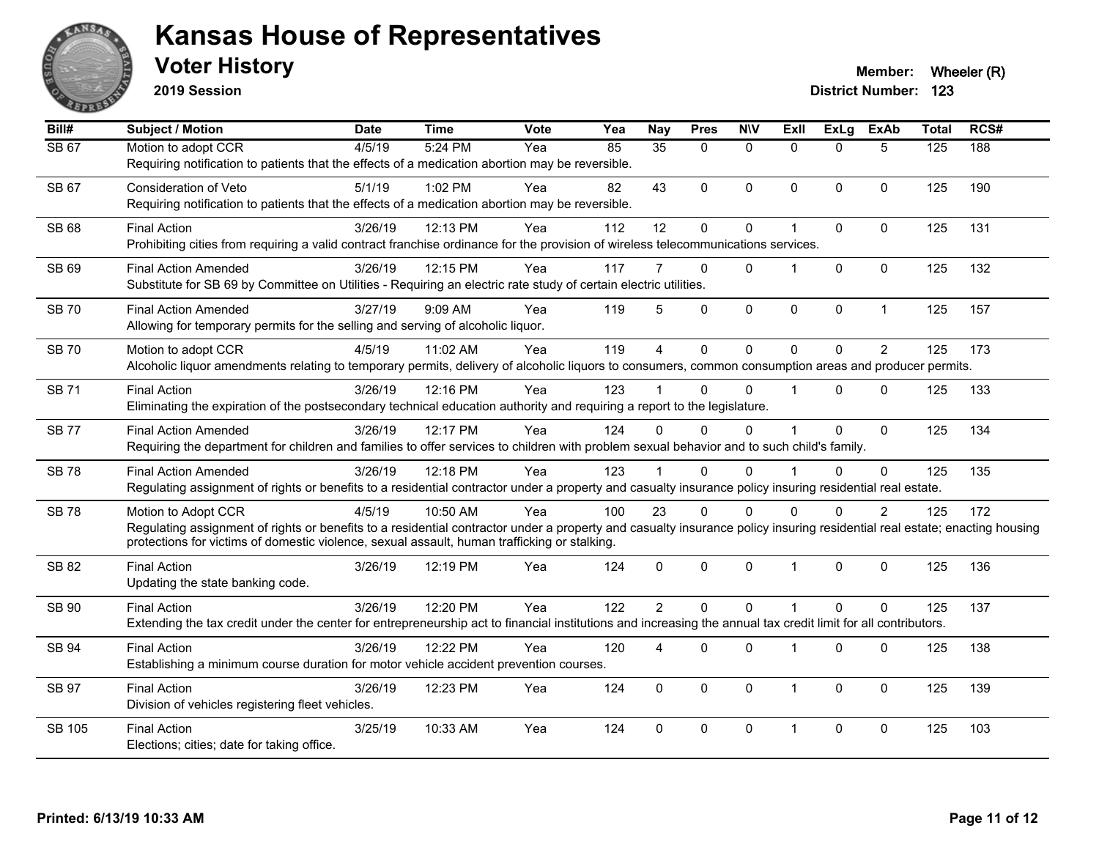

**2019 Session**

| Bill#        | <b>Subject / Motion</b>                                                                                                                                                                                                                                                                          | <b>Date</b> | <b>Time</b> | Vote | Yea | <b>Nay</b>      | <b>Pres</b>  | <b>NIV</b>   | ExIl                 | <b>ExLg</b> | <b>ExAb</b>    | <b>Total</b> | RCS# |
|--------------|--------------------------------------------------------------------------------------------------------------------------------------------------------------------------------------------------------------------------------------------------------------------------------------------------|-------------|-------------|------|-----|-----------------|--------------|--------------|----------------------|-------------|----------------|--------------|------|
| SB 67        | Motion to adopt CCR<br>Requiring notification to patients that the effects of a medication abortion may be reversible.                                                                                                                                                                           | 4/5/19      | 5:24 PM     | Yea  | 85  | $\overline{35}$ | $\Omega$     | $\mathbf{0}$ | $\Omega$             | $\Omega$    | 5              | 125          | 188  |
| SB 67        | <b>Consideration of Veto</b><br>Requiring notification to patients that the effects of a medication abortion may be reversible.                                                                                                                                                                  | 5/1/19      | 1:02 PM     | Yea  | 82  | 43              | $\Omega$     | $\mathbf{0}$ | $\Omega$             | $\Omega$    | $\mathbf{0}$   | 125          | 190  |
| SB 68        | <b>Final Action</b><br>Prohibiting cities from requiring a valid contract franchise ordinance for the provision of wireless telecommunications services.                                                                                                                                         | 3/26/19     | 12:13 PM    | Yea  | 112 | 12              | 0            | $\mathbf 0$  | 1                    | $\Omega$    | $\Omega$       | 125          | 131  |
| SB 69        | <b>Final Action Amended</b><br>Substitute for SB 69 by Committee on Utilities - Requiring an electric rate study of certain electric utilities.                                                                                                                                                  | 3/26/19     | 12:15 PM    | Yea  | 117 | 7               | $\Omega$     | $\Omega$     | 1                    | $\Omega$    | $\Omega$       | 125          | 132  |
| <b>SB 70</b> | <b>Final Action Amended</b><br>Allowing for temporary permits for the selling and serving of alcoholic liquor.                                                                                                                                                                                   | 3/27/19     | 9:09 AM     | Yea  | 119 | 5               | 0            | $\pmb{0}$    | $\mathbf 0$          | 0           | $\mathbf{1}$   | 125          | 157  |
| <b>SB70</b>  | Motion to adopt CCR<br>Alcoholic liquor amendments relating to temporary permits, delivery of alcoholic liquors to consumers, common consumption areas and producer permits.                                                                                                                     | 4/5/19      | 11:02 AM    | Yea  | 119 | $\overline{4}$  | $\Omega$     | $\mathbf 0$  | $\Omega$             | $\Omega$    | $\overline{2}$ | 125          | 173  |
| <b>SB71</b>  | <b>Final Action</b><br>Eliminating the expiration of the postsecondary technical education authority and requiring a report to the legislature.                                                                                                                                                  | 3/26/19     | 12:16 PM    | Yea  | 123 |                 | $\Omega$     | $\Omega$     | $\blacktriangleleft$ | $\Omega$    | $\Omega$       | 125          | 133  |
| <b>SB77</b>  | <b>Final Action Amended</b><br>Requiring the department for children and families to offer services to children with problem sexual behavior and to such child's family.                                                                                                                         | 3/26/19     | 12:17 PM    | Yea  | 124 | 0               | $\Omega$     | $\Omega$     |                      | $\Omega$    | $\mathbf{0}$   | 125          | 134  |
| <b>SB78</b>  | <b>Final Action Amended</b><br>Regulating assignment of rights or benefits to a residential contractor under a property and casualty insurance policy insuring residential real estate.                                                                                                          | 3/26/19     | 12:18 PM    | Yea  | 123 |                 | $\Omega$     | $\Omega$     |                      | $\Omega$    | $\Omega$       | 125          | 135  |
| <b>SB78</b>  | Motion to Adopt CCR<br>Regulating assignment of rights or benefits to a residential contractor under a property and casualty insurance policy insuring residential real estate; enacting housing<br>protections for victims of domestic violence, sexual assault, human trafficking or stalking. | 4/5/19      | 10:50 AM    | Yea  | 100 | 23              | $\Omega$     | $\Omega$     | $\Omega$             | $\Omega$    | $\overline{2}$ | 125          | 172  |
| SB 82        | <b>Final Action</b><br>Updating the state banking code.                                                                                                                                                                                                                                          | 3/26/19     | 12:19 PM    | Yea  | 124 | $\mathbf{0}$    | $\mathbf{0}$ | $\mathbf 0$  | $\mathbf{1}$         | $\Omega$    | $\mathbf{0}$   | 125          | 136  |
| SB 90        | <b>Final Action</b><br>Extending the tax credit under the center for entrepreneurship act to financial institutions and increasing the annual tax credit limit for all contributors.                                                                                                             | 3/26/19     | 12:20 PM    | Yea  | 122 | $\overline{2}$  | $\Omega$     | $\Omega$     | $\overline{1}$       | $\Omega$    | $\Omega$       | 125          | 137  |
| SB 94        | <b>Final Action</b><br>Establishing a minimum course duration for motor vehicle accident prevention courses.                                                                                                                                                                                     | 3/26/19     | 12:22 PM    | Yea  | 120 | 4               | 0            | $\mathbf 0$  | $\overline{1}$       | $\mathbf 0$ | $\mathbf 0$    | 125          | 138  |
| <b>SB 97</b> | <b>Final Action</b><br>Division of vehicles registering fleet vehicles.                                                                                                                                                                                                                          | 3/26/19     | 12:23 PM    | Yea  | 124 | $\mathbf 0$     | 0            | $\mathbf 0$  | $\mathbf{1}$         | $\Omega$    | $\mathbf 0$    | 125          | 139  |
| SB 105       | <b>Final Action</b><br>Elections; cities; date for taking office.                                                                                                                                                                                                                                | 3/25/19     | 10:33 AM    | Yea  | 124 | $\mathbf{0}$    | 0            | $\mathbf 0$  | $\mathbf 1$          | $\Omega$    | $\mathbf{0}$   | 125          | 103  |